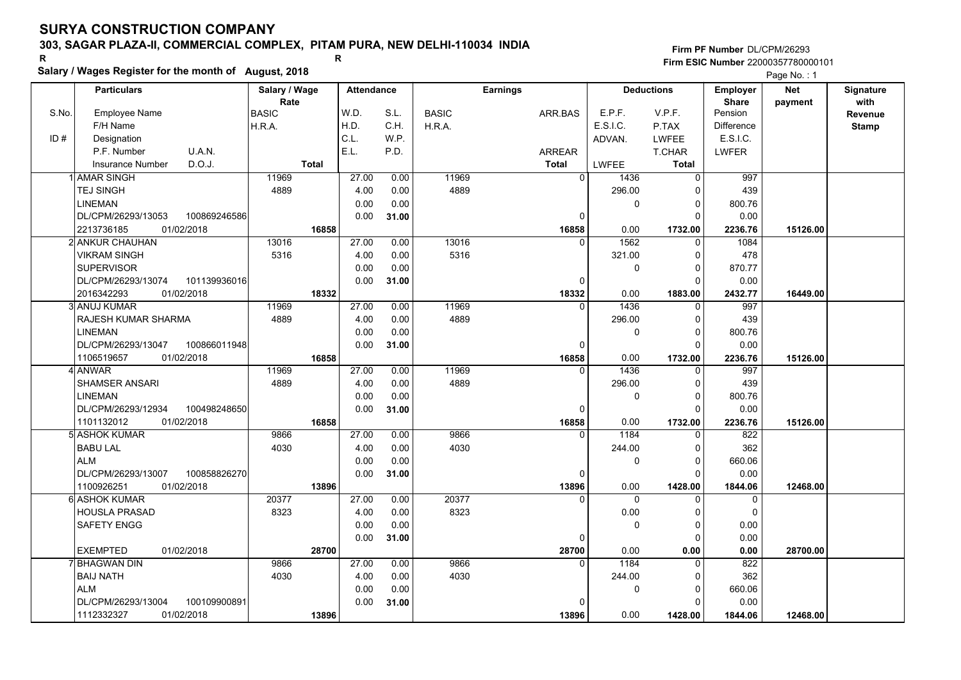## **303, SAGAR PLAZA-II, COMMERCIAL COMPLEX, PITAM PURA, NEW DELHI-110034 INDIA**

**Salary / Wages Register for the month of August, 2018 <sup>R</sup> <sup>R</sup>**

### **Firm PF Number**DL/CPM/26293**Firm ESIC Number** 22000357780000101

|       | <b>Particulars</b>                        |              | Salary / Wage        |              | <b>Attendance</b> |              |              | <b>Earnings</b> |                       |              | <b>Deductions</b>          | <b>Employer</b>         | Net      | Signature               |
|-------|-------------------------------------------|--------------|----------------------|--------------|-------------------|--------------|--------------|-----------------|-----------------------|--------------|----------------------------|-------------------------|----------|-------------------------|
| S.No. | <b>Employee Name</b>                      |              | Rate<br><b>BASIC</b> |              | W.D.              | S.L.         | <b>BASIC</b> | ARR.BAS         |                       | E.P.F.       | V.P.F.                     | <b>Share</b><br>Pension | payment  | with                    |
|       | F/H Name                                  |              | H.R.A.               |              | H.D.              | C.H.         | H.R.A.       |                 |                       | E.S.I.C.     | P.TAX                      | <b>Difference</b>       |          | Revenue<br><b>Stamp</b> |
| ID#   | Designation                               |              |                      |              | C.L.              | W.P.         |              |                 |                       | ADVAN.       | <b>LWFEE</b>               | E.S.I.C.                |          |                         |
|       | P.F. Number                               | U.A.N.       |                      |              | E.L.              | P.D.         |              | <b>ARREAR</b>   |                       |              | T.CHAR                     | <b>LWFER</b>            |          |                         |
|       | <b>Insurance Number</b>                   | D.O.J.       |                      | <b>Total</b> |                   |              |              | <b>Total</b>    |                       | LWFEE        | <b>Total</b>               |                         |          |                         |
|       | 1 AMAR SINGH                              |              | 11969                |              | 27.00             | 0.00         | 11969        |                 | $\Omega$              | 1436         | $\mathbf 0$                | 997                     |          |                         |
|       | <b>TEJ SINGH</b>                          |              | 4889                 |              | 4.00              | 0.00         | 4889         |                 |                       | 296.00       | 0                          | 439                     |          |                         |
|       | <b>LINEMAN</b>                            |              |                      |              | 0.00              | 0.00         |              |                 |                       | 0            | $\mathbf 0$                | 800.76                  |          |                         |
|       | DL/CPM/26293/13053                        | 100869246586 |                      |              | 0.00              |              |              |                 | 0                     |              | $\Omega$                   | 0.00                    |          |                         |
|       | 2213736185<br>01/02/2018                  |              |                      | 16858        |                   | 31.00        |              |                 |                       |              |                            |                         | 15126.00 |                         |
|       |                                           |              |                      |              | 27.00             |              | 13016        |                 | 16858<br>$\Omega$     | 0.00<br>1562 | 1732.00<br>$\mathbf 0$     | 2236.76                 |          |                         |
|       | 2 ANKUR CHAUHAN                           |              | 13016                |              |                   | 0.00         |              |                 |                       |              |                            | 1084                    |          |                         |
|       | <b>VIKRAM SINGH</b>                       |              | 5316                 |              | 4.00              | 0.00         | 5316         |                 |                       | 321.00       | 0                          | 478                     |          |                         |
|       | <b>SUPERVISOR</b>                         |              |                      |              | 0.00              | 0.00         |              |                 |                       | 0            | $\mathbf 0$                | 870.77                  |          |                         |
|       | DL/CPM/26293/13074                        | 101139936016 |                      |              | 0.00              | 31.00        |              |                 | 0                     |              | $\mathbf 0$                | 0.00                    |          |                         |
|       | 01/02/2018<br>2016342293<br>3 ANUJ KUMAR  |              | 11969                | 18332        | 27.00             | 0.00         | 11969        |                 | 18332<br>$\Omega$     | 0.00<br>1436 | 1883.00                    | 2432.77<br>997          | 16449.00 |                         |
|       | RAJESH KUMAR SHARMA                       |              | 4889                 |              | 4.00              | 0.00         | 4889         |                 |                       | 296.00       | 0                          | 439                     |          |                         |
|       | <b>LINEMAN</b>                            |              |                      |              |                   |              |              |                 |                       |              | 0<br>$\mathbf 0$           |                         |          |                         |
|       |                                           |              |                      |              | 0.00              | 0.00         |              |                 |                       | 0            | $\Omega$                   | 800.76                  |          |                         |
|       | DL/CPM/26293/13047                        | 100866011948 |                      |              | 0.00              | 31.00        |              |                 | $\Omega$              |              |                            | 0.00                    |          |                         |
|       | 01/02/2018<br>1106519657                  |              | 11969                | 16858        | 27.00             | 0.00         | 11969        |                 | 16858<br>$\mathbf{0}$ | 0.00<br>1436 | 1732.00                    | 2236.76<br>997          | 15126.00 |                         |
|       | 4 ANWAR                                   |              | 4889                 |              |                   |              | 4889         |                 |                       |              | 0                          |                         |          |                         |
|       | <b>SHAMSER ANSARI</b><br><b>LINEMAN</b>   |              |                      |              | 4.00<br>0.00      | 0.00<br>0.00 |              |                 |                       | 296.00<br>0  | $\mathbf 0$<br>$\mathbf 0$ | 439<br>800.76           |          |                         |
|       | DL/CPM/26293/12934                        |              |                      |              | 0.00              |              |              |                 | $\Omega$              |              | $\Omega$                   |                         |          |                         |
|       |                                           | 100498248650 |                      |              |                   | 31.00        |              |                 |                       |              |                            | 0.00                    |          |                         |
|       | 1101132012<br>01/02/2018<br>5 ASHOK KUMAR |              | 9866                 | 16858        | 27.00             |              | 9866         |                 | 16858<br>$\Omega$     | 0.00<br>1184 | 1732.00                    | 2236.76                 | 15126.00 |                         |
|       | <b>BABU LAL</b>                           |              | 4030                 |              | 4.00              | 0.00<br>0.00 | 4030         |                 |                       | 244.00       | $\mathbf 0$<br>$\mathbf 0$ | 822<br>362              |          |                         |
|       | <b>ALM</b>                                |              |                      |              |                   |              |              |                 |                       | 0            | $\mathbf 0$                |                         |          |                         |
|       |                                           |              |                      |              | 0.00              | 0.00         |              |                 |                       |              |                            | 660.06                  |          |                         |
|       | DL/CPM/26293/13007                        | 100858826270 |                      |              | 0.00              | 31.00        |              |                 | 0                     |              | $\mathbf 0$                | 0.00                    |          |                         |
|       | 1100926251<br>01/02/2018                  |              | 20377                | 13896        | 27.00             |              | 20377        |                 | 13896<br>$\Omega$     | 0.00<br>0    | 1428.00<br>$\mathbf 0$     | 1844.06                 | 12468.00 |                         |
|       | 6 ASHOK KUMAR<br><b>HOUSLA PRASAD</b>     |              |                      |              | 4.00              | 0.00         | 8323         |                 |                       |              |                            | 0<br>$\Omega$           |          |                         |
|       |                                           |              | 8323                 |              |                   | 0.00         |              |                 |                       | 0.00         | $\mathbf 0$                |                         |          |                         |
|       | SAFETY ENGG                               |              |                      |              | 0.00              | 0.00         |              |                 |                       | 0            | $\mathbf 0$                | 0.00                    |          |                         |
|       |                                           |              |                      |              | 0.00              | 31.00        |              |                 | 0                     |              | $\Omega$                   | 0.00                    |          |                         |
|       | <b>EXEMPTED</b><br>01/02/2018             |              |                      | 28700        |                   |              |              |                 | 28700<br>$\Omega$     | 0.00         | 0.00                       | 0.00                    | 28700.00 |                         |
|       | 7 BHAGWAN DIN                             |              | 9866                 |              | 27.00             | 0.00         | 9866         |                 |                       | 1184         | $\mathbf 0$                | 822                     |          |                         |
|       | <b>BAIJ NATH</b>                          |              | 4030                 |              | 4.00              | 0.00         | 4030         |                 |                       | 244.00       | 0                          | 362                     |          |                         |
|       | <b>ALM</b>                                |              |                      |              | 0.00              | 0.00         |              |                 |                       | 0            | $\mathbf 0$                | 660.06                  |          |                         |
|       | DL/CPM/26293/13004                        | 100109900891 |                      |              | 0.00              | 31.00        |              |                 | <sup>0</sup>          |              | $\mathbf 0$                | 0.00                    |          |                         |
|       | 01/02/2018<br>1112332327                  |              |                      | 13896        |                   |              |              |                 | 13896                 | 0.00         | 1428.00                    | 1844.06                 | 12468.00 |                         |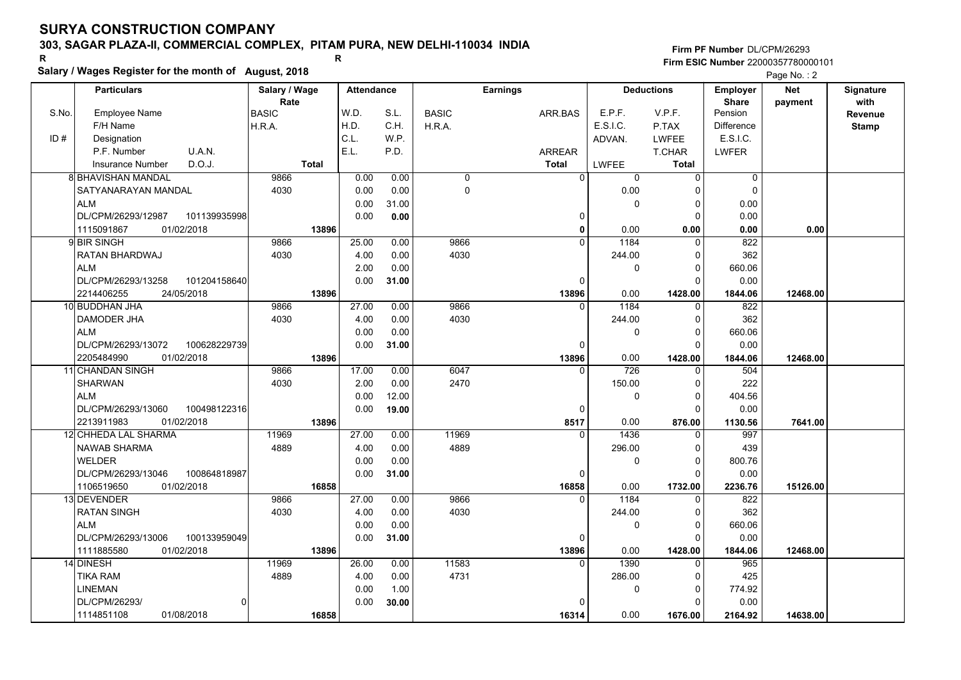## **303, SAGAR PLAZA-II, COMMERCIAL COMPLEX, PITAM PURA, NEW DELHI-110034 INDIA**

**Salary / Wages Register for the month of August, 2018 <sup>R</sup> <sup>R</sup>**

### **Firm PF Number**DL/CPM/26293**Firm ESIC Number** 22000357780000101

|       | <b>Particulars</b>                 |              | Salary / Wage | <b>Attendance</b> |       |              | <b>Earnings</b> |                |          | <b>Deductions</b>          | <b>Employer</b>   | <b>Net</b> | Signature |
|-------|------------------------------------|--------------|---------------|-------------------|-------|--------------|-----------------|----------------|----------|----------------------------|-------------------|------------|-----------|
|       |                                    |              | Rate          |                   |       |              |                 |                |          |                            | <b>Share</b>      | payment    | with      |
| S.No. | <b>Employee Name</b>               | <b>BASIC</b> |               | W.D.              | S.L.  | <b>BASIC</b> |                 | ARR.BAS        | E.P.F.   | V.P.F.                     | Pension           |            | Revenue   |
|       | F/H Name                           | H.R.A.       |               | H.D.              | C.H.  | H.R.A.       |                 |                | E.S.I.C. | P.TAX                      | <b>Difference</b> |            | Stamp     |
| ID#   | Designation                        |              |               | C.L.              | W.P.  |              |                 |                | ADVAN.   | <b>LWFEE</b>               | E.S.I.C.          |            |           |
|       | U.A.N.<br>P.F. Number              |              |               | E.L.              | P.D.  |              |                 | <b>ARREAR</b>  |          | T.CHAR                     | LWFER             |            |           |
|       | D.O.J.<br><b>Insurance Number</b>  |              | <b>Total</b>  |                   |       |              |                 | <b>Total</b>   | LWFEE    | <b>Total</b>               |                   |            |           |
|       | <b>8 BHAVISHAN MANDAL</b>          |              | 9866          | 0.00              | 0.00  | 0            |                 | $\overline{0}$ | $\Omega$ | $\Omega$                   | $\mathbf 0$       |            |           |
|       | SATYANARAYAN MANDAL                |              | 4030          | 0.00              | 0.00  | 0            |                 |                | 0.00     | $\Omega$                   | $\Omega$          |            |           |
|       | <b>ALM</b>                         |              |               |                   |       |              |                 |                |          |                            |                   |            |           |
|       |                                    |              |               | 0.00              | 31.00 |              |                 |                | 0        | $\mathbf 0$<br>$\mathbf 0$ | 0.00              |            |           |
|       | DL/CPM/26293/12987<br>101139935998 |              |               | 0.00              | 0.00  |              |                 | 0              |          |                            | 0.00              |            |           |
|       | 1115091867<br>01/02/2018           |              | 13896         |                   |       |              |                 | 0<br>$\Omega$  | 0.00     | 0.00                       | 0.00              | 0.00       |           |
|       | 9 BIR SINGH                        |              | 9866          | 25.00             | 0.00  | 9866         |                 |                | 1184     | $\Omega$                   | 822               |            |           |
|       | RATAN BHARDWAJ                     |              | 4030          | 4.00              | 0.00  | 4030         |                 |                | 244.00   | $\mathbf 0$                | 362               |            |           |
|       | <b>ALM</b>                         |              |               | 2.00              | 0.00  |              |                 |                | 0        | $\mathbf 0$                | 660.06            |            |           |
|       | DL/CPM/26293/13258<br>101204158640 |              |               | 0.00              | 31.00 |              |                 | $\Omega$       |          | $\Omega$                   | 0.00              |            |           |
|       | 2214406255<br>24/05/2018           |              | 13896         |                   |       |              |                 | 13896          | 0.00     | 1428.00                    | 1844.06           | 12468.00   |           |
|       | 10 BUDDHAN JHA                     |              | 9866          | 27.00             | 0.00  | 9866         |                 | $\Omega$       | 1184     | 0                          | 822               |            |           |
|       | DAMODER JHA                        |              | 4030          | 4.00              | 0.00  | 4030         |                 |                | 244.00   | 0                          | 362               |            |           |
|       | <b>ALM</b>                         |              |               | 0.00              | 0.00  |              |                 |                | 0        | $\mathbf 0$                | 660.06            |            |           |
|       | DL/CPM/26293/13072<br>100628229739 |              |               | 0.00              | 31.00 |              |                 | $\Omega$       |          | $\Omega$                   | 0.00              |            |           |
|       | 01/02/2018<br>2205484990           |              | 13896         |                   |       |              |                 | 13896          | 0.00     | 1428.00                    | 1844.06           | 12468.00   |           |
|       | 11 CHANDAN SINGH                   |              | 9866          | 17.00             | 0.00  | 6047         |                 | 0              | 726      | 0                          | 504               |            |           |
|       | <b>SHARWAN</b>                     |              | 4030          | 2.00              | 0.00  | 2470         |                 |                | 150.00   | $\mathbf 0$                | 222               |            |           |
|       | <b>ALM</b>                         |              |               | 0.00              | 12.00 |              |                 |                | 0        | $\mathbf 0$                | 404.56            |            |           |
|       | DL/CPM/26293/13060<br>100498122316 |              |               | 0.00              | 19.00 |              |                 | $\Omega$       |          | $\Omega$                   | 0.00              |            |           |
|       | 2213911983<br>01/02/2018           |              | 13896         |                   |       |              |                 | 8517           | 0.00     | 876.00                     | 1130.56           | 7641.00    |           |
|       | 12 CHHEDA LAL SHARMA               |              | 11969         | 27.00             | 0.00  | 11969        |                 | $\Omega$       | 1436     | 0                          | 997               |            |           |
|       | <b>NAWAB SHARMA</b>                |              | 4889          | 4.00              | 0.00  | 4889         |                 |                | 296.00   | 0                          | 439               |            |           |
|       | WELDER                             |              |               | 0.00              | 0.00  |              |                 |                | 0        | $\mathbf 0$                | 800.76            |            |           |
|       | DL/CPM/26293/13046<br>100864818987 |              |               | 0.00              | 31.00 |              |                 | $\Omega$       |          | $\Omega$                   | 0.00              |            |           |
|       | 1106519650<br>01/02/2018           |              | 16858         |                   |       |              |                 | 16858          | 0.00     | 1732.00                    | 2236.76           | 15126.00   |           |
|       | 13 DEVENDER                        |              | 9866          | 27.00             | 0.00  | 9866         |                 | $\Omega$       | 1184     | $\mathbf 0$                | 822               |            |           |
|       | <b>RATAN SINGH</b>                 |              | 4030          | 4.00              | 0.00  | 4030         |                 |                | 244.00   | $\mathbf 0$                | 362               |            |           |
|       | <b>ALM</b>                         |              |               | 0.00              | 0.00  |              |                 |                | 0        | $\mathbf 0$                | 660.06            |            |           |
|       | 100133959049<br>DL/CPM/26293/13006 |              |               | 0.00              | 31.00 |              |                 | 0              |          | $\Omega$                   | 0.00              |            |           |
|       | 1111885580<br>01/02/2018           |              | 13896         |                   |       |              |                 | 13896          | 0.00     | 1428.00                    | 1844.06           | 12468.00   |           |
|       | 14 DINESH                          |              | 11969         | 26.00             | 0.00  | 11583        |                 | $\Omega$       | 1390     | $\Omega$                   | 965               |            |           |
|       | <b>TIKA RAM</b>                    |              | 4889          | 4.00              | 0.00  | 4731         |                 |                | 286.00   | 0                          | 425               |            |           |
|       | <b>LINEMAN</b>                     |              |               | 0.00              | 1.00  |              |                 |                | 0        | 0                          | 774.92            |            |           |
|       | DL/CPM/26293/                      | $\Omega$     |               | 0.00              | 30.00 |              |                 |                |          | $\Omega$                   | 0.00              |            |           |
|       | 01/08/2018<br>1114851108           |              | 16858         |                   |       |              |                 | 16314          | 0.00     | 1676.00                    | 2164.92           | 14638.00   |           |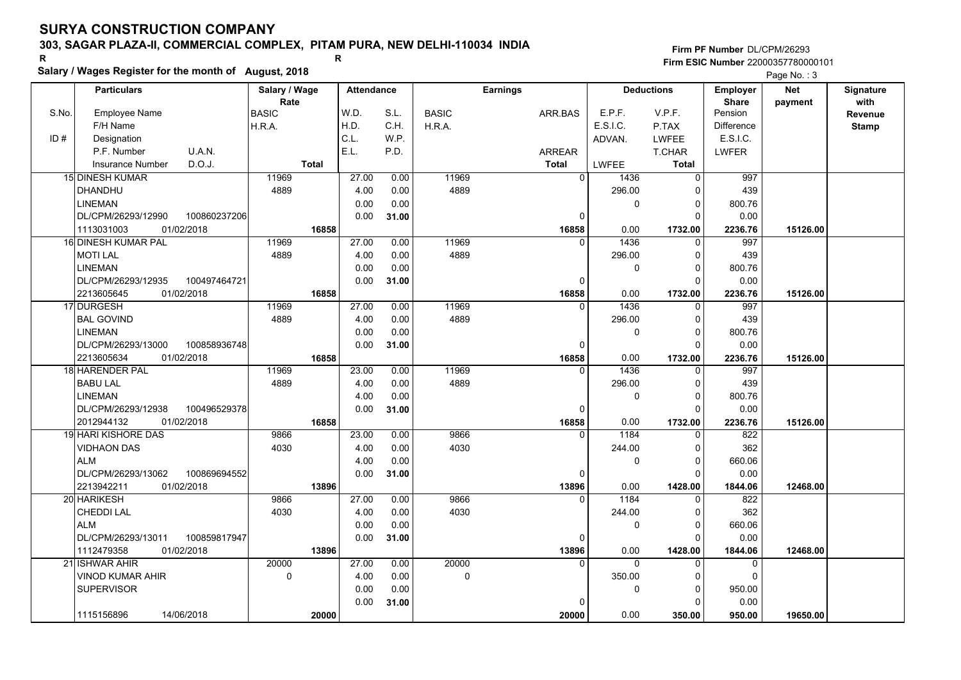## **303, SAGAR PLAZA-II, COMMERCIAL COMPLEX, PITAM PURA, NEW DELHI-110034 INDIA**

**Salary / Wages Register for the month of August, 2018 <sup>R</sup> <sup>R</sup>**

**Firm PF Number**DL/CPM/26293**Firm ESIC Number** 22000357780000101

| <b>Deductions</b><br>with<br>Rate<br><b>Share</b><br>payment<br>W.D.<br>E.P.F.<br>V.P.F.<br>S.No.<br>Employee Name<br><b>BASIC</b><br>S.L.<br><b>BASIC</b><br>Pension<br>ARR.BAS<br>Revenue<br>F/H Name<br>H.D.<br>C.H.<br>E.S.I.C.<br>P.TAX<br><b>Difference</b><br>H.R.A.<br>H.R.A.<br><b>Stamp</b><br>C.L.<br>W.P.<br>E.S.I.C.<br>ID#<br>Designation<br>ADVAN.<br><b>LWFEE</b><br>E.L.<br>P.F. Number<br>U.A.N.<br>P.D.<br>T.CHAR<br><b>LWFER</b><br><b>ARREAR</b><br>D.O.J.<br><b>Total</b><br>LWFEE<br><b>Total</b><br><b>Insurance Number</b><br><b>Total</b><br><b>15 DINESH KUMAR</b><br>11969<br>27.00<br>11969<br>997<br>0.00<br>$\Omega$<br>1436<br>$\Omega$<br>4889<br>4889<br><b>DHANDHU</b><br>4.00<br>0.00<br>296.00<br>439<br>$\Omega$<br>0.00<br>0.00<br><b>LINEMAN</b><br>$\mathbf 0$<br>800.76<br>$\Omega$<br>100860237206<br>0.00<br>DL/CPM/26293/12990<br>0.00<br>31.00<br>0<br>$\Omega$<br>1113031003<br>01/02/2018<br>16858<br>0.00<br>2236.76<br>16858<br>1732.00<br>15126.00<br>16 DINESH KUMAR PAL<br>11969<br>27.00<br>0.00<br>11969<br>1436<br>997<br>$\Omega$<br>$\Omega$<br>4889<br>4889<br>4.00<br>0.00<br>296.00<br>439<br><b>MOTI LAL</b><br>$\Omega$<br>0.00<br><b>LINEMAN</b><br>0.00<br>$\mathbf 0$<br>800.76<br>$\Omega$<br>DL/CPM/26293/12935<br>100497464721<br>0.00<br>31.00<br>0.00<br>$\Omega$<br>$\Omega$<br>16858<br>2213605645<br>01/02/2018<br>16858<br>0.00<br>1732.00<br>2236.76<br>15126.00<br>17 DURGESH<br>11969<br>27.00<br>0.00<br>11969<br>1436<br>997<br>$\Omega$<br>0<br>4889<br><b>BAL GOVIND</b><br>4889<br>4.00<br>0.00<br>439<br>296.00<br>0<br><b>LINEMAN</b><br>0.00<br>800.76<br>0.00<br>0<br>$\Omega$<br>DL/CPM/26293/13000<br>100858936748<br>0.00<br>31.00<br>0.00<br>$\Omega$<br>$\Omega$<br>16858<br>01/02/2018<br>16858<br>0.00<br>1732.00<br>2236.76<br>15126.00<br>2213605634<br>23.00<br>11969<br>1436<br>997<br>18 HARENDER PAL<br>11969<br>0.00<br>$\Omega$<br>0<br>4889<br><b>BABU LAL</b><br>4889<br>4.00<br>0.00<br>439<br>296.00<br>$\Omega$<br><b>LINEMAN</b><br>800.76<br>4.00<br>0.00<br>0<br>0<br>0.00<br>0.00<br>DL/CPM/26293/12938<br>100496529378<br>31.00<br>$\Omega$<br>$\Omega$<br>2012944132<br>01/02/2018<br>16858<br>0.00<br>16858<br>1732.00<br>2236.76<br>15126.00<br>9866<br>822<br>19 HARI KISHORE DAS<br>9866<br>23.00<br>0.00<br>1184<br>$\Omega$<br>$\Omega$<br>4030<br>362<br>4030<br>4.00<br>0.00<br>244.00<br><b>VIDHAON DAS</b><br>$\Omega$<br><b>ALM</b><br>0.00<br>660.06<br>4.00<br>$\mathbf 0$<br>0<br>0.00<br>0.00<br>DL/CPM/26293/13062<br>100869694552<br>31.00<br>$\Omega$<br>$\Omega$<br>2213942211<br>0.00<br>01/02/2018<br>13896<br>13896<br>1428.00<br>12468.00<br>1844.06<br>27.00<br>9866<br>822<br>20 HARIKESH<br>9866<br>0.00<br>1184<br>$\mathbf{0}$<br>$\Omega$<br>4030<br>362<br>CHEDDI LAL<br>4030<br>4.00<br>0.00<br>244.00<br>0<br><b>ALM</b><br>0.00<br>0.00<br>660.06<br>$\mathbf 0$<br>$\Omega$<br>DL/CPM/26293/13011<br>100859817947<br>0.00<br>0.00<br>31.00<br>$\Omega$<br>$\Omega$<br>1112479358<br>01/02/2018<br>13896<br>0.00<br>13896<br>1428.00<br>1844.06<br>12468.00<br>20000<br>21 ISHWAR AHIR<br>20000<br>27.00<br>0.00<br>$\Omega$<br>$\Omega$<br>$\mathbf 0$<br>$\mathbf 0$<br>4.00<br>0.00<br>0<br>350.00<br>VINOD KUMAR AHIR<br>$\mathbf 0$<br>$\Omega$<br><b>SUPERVISOR</b><br>0.00<br>0.00<br>0<br>950.00<br>0 | <b>Particulars</b> | Salary / Wage | Attendance |       | <b>Earnings</b> |  |          | <b>Employer</b> | Net | Signature |
|-----------------------------------------------------------------------------------------------------------------------------------------------------------------------------------------------------------------------------------------------------------------------------------------------------------------------------------------------------------------------------------------------------------------------------------------------------------------------------------------------------------------------------------------------------------------------------------------------------------------------------------------------------------------------------------------------------------------------------------------------------------------------------------------------------------------------------------------------------------------------------------------------------------------------------------------------------------------------------------------------------------------------------------------------------------------------------------------------------------------------------------------------------------------------------------------------------------------------------------------------------------------------------------------------------------------------------------------------------------------------------------------------------------------------------------------------------------------------------------------------------------------------------------------------------------------------------------------------------------------------------------------------------------------------------------------------------------------------------------------------------------------------------------------------------------------------------------------------------------------------------------------------------------------------------------------------------------------------------------------------------------------------------------------------------------------------------------------------------------------------------------------------------------------------------------------------------------------------------------------------------------------------------------------------------------------------------------------------------------------------------------------------------------------------------------------------------------------------------------------------------------------------------------------------------------------------------------------------------------------------------------------------------------------------------------------------------------------------------------------------------------------------------------------------------------------------------------------------------------------------------------------------------------------------------------------------------------------------------------------------------------------------------------------------------------------------------------------------------------------------------------------------------------------------------------------------------------------------------------------------------------------------------------------------------------------------------------------------------------------|--------------------|---------------|------------|-------|-----------------|--|----------|-----------------|-----|-----------|
|                                                                                                                                                                                                                                                                                                                                                                                                                                                                                                                                                                                                                                                                                                                                                                                                                                                                                                                                                                                                                                                                                                                                                                                                                                                                                                                                                                                                                                                                                                                                                                                                                                                                                                                                                                                                                                                                                                                                                                                                                                                                                                                                                                                                                                                                                                                                                                                                                                                                                                                                                                                                                                                                                                                                                                                                                                                                                                                                                                                                                                                                                                                                                                                                                                                                                                                                                                 |                    |               |            |       |                 |  |          |                 |     |           |
|                                                                                                                                                                                                                                                                                                                                                                                                                                                                                                                                                                                                                                                                                                                                                                                                                                                                                                                                                                                                                                                                                                                                                                                                                                                                                                                                                                                                                                                                                                                                                                                                                                                                                                                                                                                                                                                                                                                                                                                                                                                                                                                                                                                                                                                                                                                                                                                                                                                                                                                                                                                                                                                                                                                                                                                                                                                                                                                                                                                                                                                                                                                                                                                                                                                                                                                                                                 |                    |               |            |       |                 |  |          |                 |     |           |
|                                                                                                                                                                                                                                                                                                                                                                                                                                                                                                                                                                                                                                                                                                                                                                                                                                                                                                                                                                                                                                                                                                                                                                                                                                                                                                                                                                                                                                                                                                                                                                                                                                                                                                                                                                                                                                                                                                                                                                                                                                                                                                                                                                                                                                                                                                                                                                                                                                                                                                                                                                                                                                                                                                                                                                                                                                                                                                                                                                                                                                                                                                                                                                                                                                                                                                                                                                 |                    |               |            |       |                 |  |          |                 |     |           |
|                                                                                                                                                                                                                                                                                                                                                                                                                                                                                                                                                                                                                                                                                                                                                                                                                                                                                                                                                                                                                                                                                                                                                                                                                                                                                                                                                                                                                                                                                                                                                                                                                                                                                                                                                                                                                                                                                                                                                                                                                                                                                                                                                                                                                                                                                                                                                                                                                                                                                                                                                                                                                                                                                                                                                                                                                                                                                                                                                                                                                                                                                                                                                                                                                                                                                                                                                                 |                    |               |            |       |                 |  |          |                 |     |           |
|                                                                                                                                                                                                                                                                                                                                                                                                                                                                                                                                                                                                                                                                                                                                                                                                                                                                                                                                                                                                                                                                                                                                                                                                                                                                                                                                                                                                                                                                                                                                                                                                                                                                                                                                                                                                                                                                                                                                                                                                                                                                                                                                                                                                                                                                                                                                                                                                                                                                                                                                                                                                                                                                                                                                                                                                                                                                                                                                                                                                                                                                                                                                                                                                                                                                                                                                                                 |                    |               |            |       |                 |  |          |                 |     |           |
|                                                                                                                                                                                                                                                                                                                                                                                                                                                                                                                                                                                                                                                                                                                                                                                                                                                                                                                                                                                                                                                                                                                                                                                                                                                                                                                                                                                                                                                                                                                                                                                                                                                                                                                                                                                                                                                                                                                                                                                                                                                                                                                                                                                                                                                                                                                                                                                                                                                                                                                                                                                                                                                                                                                                                                                                                                                                                                                                                                                                                                                                                                                                                                                                                                                                                                                                                                 |                    |               |            |       |                 |  |          |                 |     |           |
|                                                                                                                                                                                                                                                                                                                                                                                                                                                                                                                                                                                                                                                                                                                                                                                                                                                                                                                                                                                                                                                                                                                                                                                                                                                                                                                                                                                                                                                                                                                                                                                                                                                                                                                                                                                                                                                                                                                                                                                                                                                                                                                                                                                                                                                                                                                                                                                                                                                                                                                                                                                                                                                                                                                                                                                                                                                                                                                                                                                                                                                                                                                                                                                                                                                                                                                                                                 |                    |               |            |       |                 |  |          |                 |     |           |
|                                                                                                                                                                                                                                                                                                                                                                                                                                                                                                                                                                                                                                                                                                                                                                                                                                                                                                                                                                                                                                                                                                                                                                                                                                                                                                                                                                                                                                                                                                                                                                                                                                                                                                                                                                                                                                                                                                                                                                                                                                                                                                                                                                                                                                                                                                                                                                                                                                                                                                                                                                                                                                                                                                                                                                                                                                                                                                                                                                                                                                                                                                                                                                                                                                                                                                                                                                 |                    |               |            |       |                 |  |          |                 |     |           |
|                                                                                                                                                                                                                                                                                                                                                                                                                                                                                                                                                                                                                                                                                                                                                                                                                                                                                                                                                                                                                                                                                                                                                                                                                                                                                                                                                                                                                                                                                                                                                                                                                                                                                                                                                                                                                                                                                                                                                                                                                                                                                                                                                                                                                                                                                                                                                                                                                                                                                                                                                                                                                                                                                                                                                                                                                                                                                                                                                                                                                                                                                                                                                                                                                                                                                                                                                                 |                    |               |            |       |                 |  |          |                 |     |           |
|                                                                                                                                                                                                                                                                                                                                                                                                                                                                                                                                                                                                                                                                                                                                                                                                                                                                                                                                                                                                                                                                                                                                                                                                                                                                                                                                                                                                                                                                                                                                                                                                                                                                                                                                                                                                                                                                                                                                                                                                                                                                                                                                                                                                                                                                                                                                                                                                                                                                                                                                                                                                                                                                                                                                                                                                                                                                                                                                                                                                                                                                                                                                                                                                                                                                                                                                                                 |                    |               |            |       |                 |  |          |                 |     |           |
|                                                                                                                                                                                                                                                                                                                                                                                                                                                                                                                                                                                                                                                                                                                                                                                                                                                                                                                                                                                                                                                                                                                                                                                                                                                                                                                                                                                                                                                                                                                                                                                                                                                                                                                                                                                                                                                                                                                                                                                                                                                                                                                                                                                                                                                                                                                                                                                                                                                                                                                                                                                                                                                                                                                                                                                                                                                                                                                                                                                                                                                                                                                                                                                                                                                                                                                                                                 |                    |               |            |       |                 |  |          |                 |     |           |
|                                                                                                                                                                                                                                                                                                                                                                                                                                                                                                                                                                                                                                                                                                                                                                                                                                                                                                                                                                                                                                                                                                                                                                                                                                                                                                                                                                                                                                                                                                                                                                                                                                                                                                                                                                                                                                                                                                                                                                                                                                                                                                                                                                                                                                                                                                                                                                                                                                                                                                                                                                                                                                                                                                                                                                                                                                                                                                                                                                                                                                                                                                                                                                                                                                                                                                                                                                 |                    |               |            |       |                 |  |          |                 |     |           |
|                                                                                                                                                                                                                                                                                                                                                                                                                                                                                                                                                                                                                                                                                                                                                                                                                                                                                                                                                                                                                                                                                                                                                                                                                                                                                                                                                                                                                                                                                                                                                                                                                                                                                                                                                                                                                                                                                                                                                                                                                                                                                                                                                                                                                                                                                                                                                                                                                                                                                                                                                                                                                                                                                                                                                                                                                                                                                                                                                                                                                                                                                                                                                                                                                                                                                                                                                                 |                    |               |            |       |                 |  |          |                 |     |           |
|                                                                                                                                                                                                                                                                                                                                                                                                                                                                                                                                                                                                                                                                                                                                                                                                                                                                                                                                                                                                                                                                                                                                                                                                                                                                                                                                                                                                                                                                                                                                                                                                                                                                                                                                                                                                                                                                                                                                                                                                                                                                                                                                                                                                                                                                                                                                                                                                                                                                                                                                                                                                                                                                                                                                                                                                                                                                                                                                                                                                                                                                                                                                                                                                                                                                                                                                                                 |                    |               |            |       |                 |  |          |                 |     |           |
|                                                                                                                                                                                                                                                                                                                                                                                                                                                                                                                                                                                                                                                                                                                                                                                                                                                                                                                                                                                                                                                                                                                                                                                                                                                                                                                                                                                                                                                                                                                                                                                                                                                                                                                                                                                                                                                                                                                                                                                                                                                                                                                                                                                                                                                                                                                                                                                                                                                                                                                                                                                                                                                                                                                                                                                                                                                                                                                                                                                                                                                                                                                                                                                                                                                                                                                                                                 |                    |               |            |       |                 |  |          |                 |     |           |
|                                                                                                                                                                                                                                                                                                                                                                                                                                                                                                                                                                                                                                                                                                                                                                                                                                                                                                                                                                                                                                                                                                                                                                                                                                                                                                                                                                                                                                                                                                                                                                                                                                                                                                                                                                                                                                                                                                                                                                                                                                                                                                                                                                                                                                                                                                                                                                                                                                                                                                                                                                                                                                                                                                                                                                                                                                                                                                                                                                                                                                                                                                                                                                                                                                                                                                                                                                 |                    |               |            |       |                 |  |          |                 |     |           |
|                                                                                                                                                                                                                                                                                                                                                                                                                                                                                                                                                                                                                                                                                                                                                                                                                                                                                                                                                                                                                                                                                                                                                                                                                                                                                                                                                                                                                                                                                                                                                                                                                                                                                                                                                                                                                                                                                                                                                                                                                                                                                                                                                                                                                                                                                                                                                                                                                                                                                                                                                                                                                                                                                                                                                                                                                                                                                                                                                                                                                                                                                                                                                                                                                                                                                                                                                                 |                    |               |            |       |                 |  |          |                 |     |           |
|                                                                                                                                                                                                                                                                                                                                                                                                                                                                                                                                                                                                                                                                                                                                                                                                                                                                                                                                                                                                                                                                                                                                                                                                                                                                                                                                                                                                                                                                                                                                                                                                                                                                                                                                                                                                                                                                                                                                                                                                                                                                                                                                                                                                                                                                                                                                                                                                                                                                                                                                                                                                                                                                                                                                                                                                                                                                                                                                                                                                                                                                                                                                                                                                                                                                                                                                                                 |                    |               |            |       |                 |  |          |                 |     |           |
|                                                                                                                                                                                                                                                                                                                                                                                                                                                                                                                                                                                                                                                                                                                                                                                                                                                                                                                                                                                                                                                                                                                                                                                                                                                                                                                                                                                                                                                                                                                                                                                                                                                                                                                                                                                                                                                                                                                                                                                                                                                                                                                                                                                                                                                                                                                                                                                                                                                                                                                                                                                                                                                                                                                                                                                                                                                                                                                                                                                                                                                                                                                                                                                                                                                                                                                                                                 |                    |               |            |       |                 |  |          |                 |     |           |
|                                                                                                                                                                                                                                                                                                                                                                                                                                                                                                                                                                                                                                                                                                                                                                                                                                                                                                                                                                                                                                                                                                                                                                                                                                                                                                                                                                                                                                                                                                                                                                                                                                                                                                                                                                                                                                                                                                                                                                                                                                                                                                                                                                                                                                                                                                                                                                                                                                                                                                                                                                                                                                                                                                                                                                                                                                                                                                                                                                                                                                                                                                                                                                                                                                                                                                                                                                 |                    |               |            |       |                 |  |          |                 |     |           |
|                                                                                                                                                                                                                                                                                                                                                                                                                                                                                                                                                                                                                                                                                                                                                                                                                                                                                                                                                                                                                                                                                                                                                                                                                                                                                                                                                                                                                                                                                                                                                                                                                                                                                                                                                                                                                                                                                                                                                                                                                                                                                                                                                                                                                                                                                                                                                                                                                                                                                                                                                                                                                                                                                                                                                                                                                                                                                                                                                                                                                                                                                                                                                                                                                                                                                                                                                                 |                    |               |            |       |                 |  |          |                 |     |           |
|                                                                                                                                                                                                                                                                                                                                                                                                                                                                                                                                                                                                                                                                                                                                                                                                                                                                                                                                                                                                                                                                                                                                                                                                                                                                                                                                                                                                                                                                                                                                                                                                                                                                                                                                                                                                                                                                                                                                                                                                                                                                                                                                                                                                                                                                                                                                                                                                                                                                                                                                                                                                                                                                                                                                                                                                                                                                                                                                                                                                                                                                                                                                                                                                                                                                                                                                                                 |                    |               |            |       |                 |  |          |                 |     |           |
|                                                                                                                                                                                                                                                                                                                                                                                                                                                                                                                                                                                                                                                                                                                                                                                                                                                                                                                                                                                                                                                                                                                                                                                                                                                                                                                                                                                                                                                                                                                                                                                                                                                                                                                                                                                                                                                                                                                                                                                                                                                                                                                                                                                                                                                                                                                                                                                                                                                                                                                                                                                                                                                                                                                                                                                                                                                                                                                                                                                                                                                                                                                                                                                                                                                                                                                                                                 |                    |               |            |       |                 |  |          |                 |     |           |
|                                                                                                                                                                                                                                                                                                                                                                                                                                                                                                                                                                                                                                                                                                                                                                                                                                                                                                                                                                                                                                                                                                                                                                                                                                                                                                                                                                                                                                                                                                                                                                                                                                                                                                                                                                                                                                                                                                                                                                                                                                                                                                                                                                                                                                                                                                                                                                                                                                                                                                                                                                                                                                                                                                                                                                                                                                                                                                                                                                                                                                                                                                                                                                                                                                                                                                                                                                 |                    |               |            |       |                 |  |          |                 |     |           |
|                                                                                                                                                                                                                                                                                                                                                                                                                                                                                                                                                                                                                                                                                                                                                                                                                                                                                                                                                                                                                                                                                                                                                                                                                                                                                                                                                                                                                                                                                                                                                                                                                                                                                                                                                                                                                                                                                                                                                                                                                                                                                                                                                                                                                                                                                                                                                                                                                                                                                                                                                                                                                                                                                                                                                                                                                                                                                                                                                                                                                                                                                                                                                                                                                                                                                                                                                                 |                    |               |            |       |                 |  |          |                 |     |           |
|                                                                                                                                                                                                                                                                                                                                                                                                                                                                                                                                                                                                                                                                                                                                                                                                                                                                                                                                                                                                                                                                                                                                                                                                                                                                                                                                                                                                                                                                                                                                                                                                                                                                                                                                                                                                                                                                                                                                                                                                                                                                                                                                                                                                                                                                                                                                                                                                                                                                                                                                                                                                                                                                                                                                                                                                                                                                                                                                                                                                                                                                                                                                                                                                                                                                                                                                                                 |                    |               |            |       |                 |  |          |                 |     |           |
|                                                                                                                                                                                                                                                                                                                                                                                                                                                                                                                                                                                                                                                                                                                                                                                                                                                                                                                                                                                                                                                                                                                                                                                                                                                                                                                                                                                                                                                                                                                                                                                                                                                                                                                                                                                                                                                                                                                                                                                                                                                                                                                                                                                                                                                                                                                                                                                                                                                                                                                                                                                                                                                                                                                                                                                                                                                                                                                                                                                                                                                                                                                                                                                                                                                                                                                                                                 |                    |               |            |       |                 |  |          |                 |     |           |
|                                                                                                                                                                                                                                                                                                                                                                                                                                                                                                                                                                                                                                                                                                                                                                                                                                                                                                                                                                                                                                                                                                                                                                                                                                                                                                                                                                                                                                                                                                                                                                                                                                                                                                                                                                                                                                                                                                                                                                                                                                                                                                                                                                                                                                                                                                                                                                                                                                                                                                                                                                                                                                                                                                                                                                                                                                                                                                                                                                                                                                                                                                                                                                                                                                                                                                                                                                 |                    |               |            |       |                 |  |          |                 |     |           |
|                                                                                                                                                                                                                                                                                                                                                                                                                                                                                                                                                                                                                                                                                                                                                                                                                                                                                                                                                                                                                                                                                                                                                                                                                                                                                                                                                                                                                                                                                                                                                                                                                                                                                                                                                                                                                                                                                                                                                                                                                                                                                                                                                                                                                                                                                                                                                                                                                                                                                                                                                                                                                                                                                                                                                                                                                                                                                                                                                                                                                                                                                                                                                                                                                                                                                                                                                                 |                    |               |            |       |                 |  |          |                 |     |           |
|                                                                                                                                                                                                                                                                                                                                                                                                                                                                                                                                                                                                                                                                                                                                                                                                                                                                                                                                                                                                                                                                                                                                                                                                                                                                                                                                                                                                                                                                                                                                                                                                                                                                                                                                                                                                                                                                                                                                                                                                                                                                                                                                                                                                                                                                                                                                                                                                                                                                                                                                                                                                                                                                                                                                                                                                                                                                                                                                                                                                                                                                                                                                                                                                                                                                                                                                                                 |                    |               |            |       |                 |  |          |                 |     |           |
|                                                                                                                                                                                                                                                                                                                                                                                                                                                                                                                                                                                                                                                                                                                                                                                                                                                                                                                                                                                                                                                                                                                                                                                                                                                                                                                                                                                                                                                                                                                                                                                                                                                                                                                                                                                                                                                                                                                                                                                                                                                                                                                                                                                                                                                                                                                                                                                                                                                                                                                                                                                                                                                                                                                                                                                                                                                                                                                                                                                                                                                                                                                                                                                                                                                                                                                                                                 |                    |               |            |       |                 |  |          |                 |     |           |
|                                                                                                                                                                                                                                                                                                                                                                                                                                                                                                                                                                                                                                                                                                                                                                                                                                                                                                                                                                                                                                                                                                                                                                                                                                                                                                                                                                                                                                                                                                                                                                                                                                                                                                                                                                                                                                                                                                                                                                                                                                                                                                                                                                                                                                                                                                                                                                                                                                                                                                                                                                                                                                                                                                                                                                                                                                                                                                                                                                                                                                                                                                                                                                                                                                                                                                                                                                 |                    |               |            |       |                 |  |          |                 |     |           |
|                                                                                                                                                                                                                                                                                                                                                                                                                                                                                                                                                                                                                                                                                                                                                                                                                                                                                                                                                                                                                                                                                                                                                                                                                                                                                                                                                                                                                                                                                                                                                                                                                                                                                                                                                                                                                                                                                                                                                                                                                                                                                                                                                                                                                                                                                                                                                                                                                                                                                                                                                                                                                                                                                                                                                                                                                                                                                                                                                                                                                                                                                                                                                                                                                                                                                                                                                                 |                    |               |            |       |                 |  |          |                 |     |           |
|                                                                                                                                                                                                                                                                                                                                                                                                                                                                                                                                                                                                                                                                                                                                                                                                                                                                                                                                                                                                                                                                                                                                                                                                                                                                                                                                                                                                                                                                                                                                                                                                                                                                                                                                                                                                                                                                                                                                                                                                                                                                                                                                                                                                                                                                                                                                                                                                                                                                                                                                                                                                                                                                                                                                                                                                                                                                                                                                                                                                                                                                                                                                                                                                                                                                                                                                                                 |                    |               |            |       |                 |  |          |                 |     |           |
|                                                                                                                                                                                                                                                                                                                                                                                                                                                                                                                                                                                                                                                                                                                                                                                                                                                                                                                                                                                                                                                                                                                                                                                                                                                                                                                                                                                                                                                                                                                                                                                                                                                                                                                                                                                                                                                                                                                                                                                                                                                                                                                                                                                                                                                                                                                                                                                                                                                                                                                                                                                                                                                                                                                                                                                                                                                                                                                                                                                                                                                                                                                                                                                                                                                                                                                                                                 |                    |               |            |       |                 |  |          |                 |     |           |
|                                                                                                                                                                                                                                                                                                                                                                                                                                                                                                                                                                                                                                                                                                                                                                                                                                                                                                                                                                                                                                                                                                                                                                                                                                                                                                                                                                                                                                                                                                                                                                                                                                                                                                                                                                                                                                                                                                                                                                                                                                                                                                                                                                                                                                                                                                                                                                                                                                                                                                                                                                                                                                                                                                                                                                                                                                                                                                                                                                                                                                                                                                                                                                                                                                                                                                                                                                 |                    |               |            |       |                 |  |          |                 |     |           |
|                                                                                                                                                                                                                                                                                                                                                                                                                                                                                                                                                                                                                                                                                                                                                                                                                                                                                                                                                                                                                                                                                                                                                                                                                                                                                                                                                                                                                                                                                                                                                                                                                                                                                                                                                                                                                                                                                                                                                                                                                                                                                                                                                                                                                                                                                                                                                                                                                                                                                                                                                                                                                                                                                                                                                                                                                                                                                                                                                                                                                                                                                                                                                                                                                                                                                                                                                                 |                    |               |            |       |                 |  |          |                 |     |           |
|                                                                                                                                                                                                                                                                                                                                                                                                                                                                                                                                                                                                                                                                                                                                                                                                                                                                                                                                                                                                                                                                                                                                                                                                                                                                                                                                                                                                                                                                                                                                                                                                                                                                                                                                                                                                                                                                                                                                                                                                                                                                                                                                                                                                                                                                                                                                                                                                                                                                                                                                                                                                                                                                                                                                                                                                                                                                                                                                                                                                                                                                                                                                                                                                                                                                                                                                                                 |                    |               |            |       |                 |  |          |                 |     |           |
|                                                                                                                                                                                                                                                                                                                                                                                                                                                                                                                                                                                                                                                                                                                                                                                                                                                                                                                                                                                                                                                                                                                                                                                                                                                                                                                                                                                                                                                                                                                                                                                                                                                                                                                                                                                                                                                                                                                                                                                                                                                                                                                                                                                                                                                                                                                                                                                                                                                                                                                                                                                                                                                                                                                                                                                                                                                                                                                                                                                                                                                                                                                                                                                                                                                                                                                                                                 |                    |               |            |       |                 |  |          |                 |     |           |
|                                                                                                                                                                                                                                                                                                                                                                                                                                                                                                                                                                                                                                                                                                                                                                                                                                                                                                                                                                                                                                                                                                                                                                                                                                                                                                                                                                                                                                                                                                                                                                                                                                                                                                                                                                                                                                                                                                                                                                                                                                                                                                                                                                                                                                                                                                                                                                                                                                                                                                                                                                                                                                                                                                                                                                                                                                                                                                                                                                                                                                                                                                                                                                                                                                                                                                                                                                 |                    |               |            |       |                 |  |          |                 |     |           |
|                                                                                                                                                                                                                                                                                                                                                                                                                                                                                                                                                                                                                                                                                                                                                                                                                                                                                                                                                                                                                                                                                                                                                                                                                                                                                                                                                                                                                                                                                                                                                                                                                                                                                                                                                                                                                                                                                                                                                                                                                                                                                                                                                                                                                                                                                                                                                                                                                                                                                                                                                                                                                                                                                                                                                                                                                                                                                                                                                                                                                                                                                                                                                                                                                                                                                                                                                                 |                    |               | 0.00       | 31.00 |                 |  | $\Omega$ | 0.00            |     |           |
| 1115156896<br>14/06/2018<br>0.00<br>20000<br>20000<br>950.00<br>19650.00<br>350.00                                                                                                                                                                                                                                                                                                                                                                                                                                                                                                                                                                                                                                                                                                                                                                                                                                                                                                                                                                                                                                                                                                                                                                                                                                                                                                                                                                                                                                                                                                                                                                                                                                                                                                                                                                                                                                                                                                                                                                                                                                                                                                                                                                                                                                                                                                                                                                                                                                                                                                                                                                                                                                                                                                                                                                                                                                                                                                                                                                                                                                                                                                                                                                                                                                                                              |                    |               |            |       |                 |  |          |                 |     |           |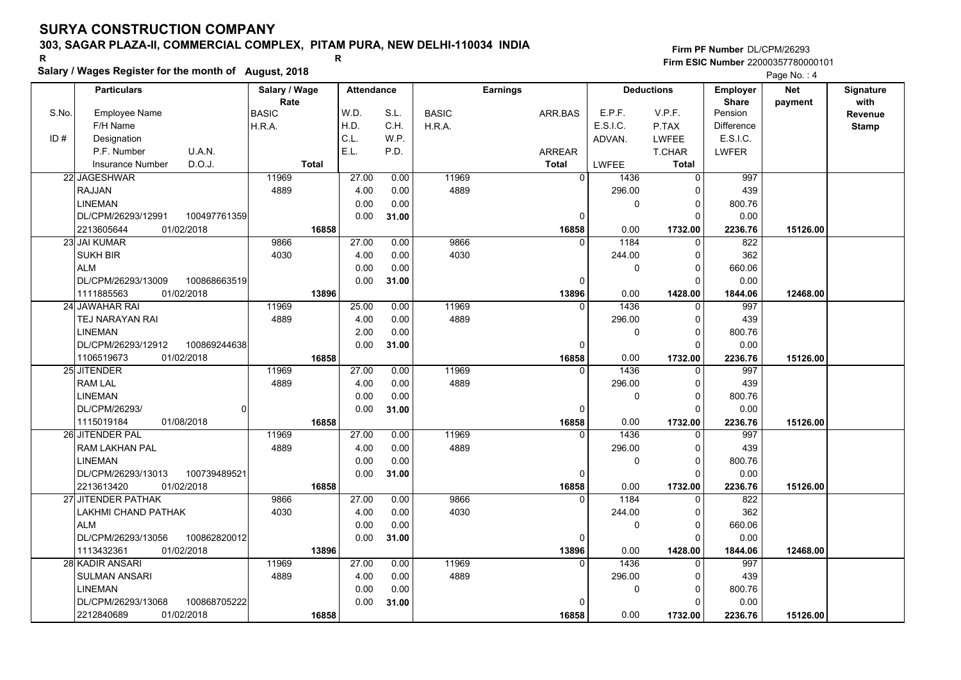## **303, SAGAR PLAZA-II, COMMERCIAL COMPLEX, PITAM PURA, NEW DELHI-110034 INDIA**

**Salary / Wages Register for the month of August, 2018 <sup>R</sup> <sup>R</sup>**

### **Firm PF Number**DL/CPM/26293**Firm ESIC Number** 22000357780000101

|       | <b>Particulars</b>                 | Salary / Wage        | <b>Attendance</b> |       |              | Earnings       |             | <b>Deductions</b> | <b>Employer</b>         | <b>Net</b> | Signature              |
|-------|------------------------------------|----------------------|-------------------|-------|--------------|----------------|-------------|-------------------|-------------------------|------------|------------------------|
| S.No. | <b>Employee Name</b>               | Rate<br><b>BASIC</b> | W.D.              | S.L.  | <b>BASIC</b> | ARR.BAS        | E.P.F.      | V.P.F.            | <b>Share</b><br>Pension | payment    | with<br><b>Revenue</b> |
|       | F/H Name                           | H.R.A.               | H.D.              | C.H.  | H.R.A.       |                | E.S.I.C.    | P.TAX             | <b>Difference</b>       |            | <b>Stamp</b>           |
| ID#   | Designation                        |                      | C.L.              | W.P.  |              |                | ADVAN.      | LWFEE             | E.S.I.C.                |            |                        |
|       | U.A.N.<br>P.F. Number              |                      | E.L.              | P.D.  |              | <b>ARREAR</b>  |             | T.CHAR            | <b>LWFER</b>            |            |                        |
|       | D.O.J.<br><b>Insurance Number</b>  | <b>Total</b>         |                   |       |              | <b>Total</b>   | LWFEE       | Total             |                         |            |                        |
|       | 22 JAGESHWAR                       | 11969                | 27.00             | 0.00  | 11969        | $\Omega$       | 1436        | 0                 | 997                     |            |                        |
|       | RAJJAN                             | 4889                 | 4.00              | 0.00  | 4889         |                | 296.00      | 0                 | 439                     |            |                        |
|       | <b>LINEMAN</b>                     |                      | 0.00              | 0.00  |              |                | $\Omega$    | $\mathbf 0$       | 800.76                  |            |                        |
|       | DL/CPM/26293/12991<br>100497761359 |                      | 0.00              | 31.00 |              | $\mathbf{0}$   |             | $\Omega$          | 0.00                    |            |                        |
|       | 2213605644<br>01/02/2018           | 16858                |                   |       |              | 16858          | 0.00        | 1732.00           | 2236.76                 | 15126.00   |                        |
|       | 23 JAI KUMAR                       | 9866                 | 27.00             | 0.00  | 9866         | $\Omega$       | 1184        | $\mathbf 0$       | 822                     |            |                        |
|       | <b>SUKH BIR</b>                    | 4030                 | 4.00              | 0.00  | 4030         |                | 244.00      | 0                 | 362                     |            |                        |
|       | <b>ALM</b>                         |                      | 0.00              | 0.00  |              |                | $\mathbf 0$ | $\mathbf 0$       | 660.06                  |            |                        |
|       | DL/CPM/26293/13009<br>100868663519 |                      | 0.00              | 31.00 |              | $\Omega$       |             | $\Omega$          | 0.00                    |            |                        |
|       | 01/02/2018<br>1111885563           | 13896                |                   |       |              | 13896          | 0.00        | 1428.00           | 1844.06                 | 12468.00   |                        |
|       | 24 JAWAHAR RAI                     | 11969                | 25.00             | 0.00  | 11969        | $\Omega$       | 1436        | $\mathbf 0$       | 997                     |            |                        |
|       | TEJ NARAYAN RAI                    | 4889                 | 4.00              | 0.00  | 4889         |                | 296.00      | $\mathbf 0$       | 439                     |            |                        |
|       | <b>LINEMAN</b>                     |                      | 2.00              | 0.00  |              |                | 0           | $\Omega$          | 800.76                  |            |                        |
|       | DL/CPM/26293/12912<br>100869244638 |                      | 0.00              | 31.00 |              | 0              |             | $\Omega$          | 0.00                    |            |                        |
|       | 1106519673<br>01/02/2018           | 16858                |                   |       |              | 16858          | 0.00        | 1732.00           | 2236.76                 | 15126.00   |                        |
|       | 25 JITENDER                        | 11969                | 27.00             | 0.00  | 11969        | $\Omega$       | 1436        | 0                 | 997                     |            |                        |
|       | <b>RAM LAL</b>                     | 4889                 | 4.00              | 0.00  | 4889         |                | 296.00      | $\mathbf 0$       | 439                     |            |                        |
|       | <b>LINEMAN</b>                     |                      | 0.00              | 0.00  |              |                | $\Omega$    | $\mathbf 0$       | 800.76                  |            |                        |
|       | DL/CPM/26293/<br>$\Omega$          |                      | 0.00              | 31.00 |              | $\mathbf{0}$   |             | $\Omega$          | 0.00                    |            |                        |
|       | 1115019184<br>01/08/2018           | 16858                |                   |       |              | 16858          | 0.00        | 1732.00           | 2236.76                 | 15126.00   |                        |
|       | 26 JITENDER PAL                    | 11969                | 27.00             | 0.00  | 11969        | $\overline{0}$ | 1436        | $\Omega$          | 997                     |            |                        |
|       | <b>RAM LAKHAN PAL</b>              | 4889                 | 4.00              | 0.00  | 4889         |                | 296.00      | $\mathbf 0$       | 439                     |            |                        |
|       | <b>LINEMAN</b>                     |                      | 0.00              | 0.00  |              |                | 0           | $\mathbf 0$       | 800.76                  |            |                        |
|       | DL/CPM/26293/13013<br>100739489521 |                      | 0.00              | 31.00 |              | 0              |             | $\Omega$          | 0.00                    |            |                        |
|       | 2213613420<br>01/02/2018           | 16858                |                   |       |              | 16858          | 0.00        | 1732.00           | 2236.76                 | 15126.00   |                        |
|       | 27 JITENDER PATHAK                 | 9866                 | 27.00             | 0.00  | 9866         | $\Omega$       | 1184        | $\Omega$          | 822                     |            |                        |
|       | <b>LAKHMI CHAND PATHAK</b>         | 4030                 | 4.00              | 0.00  | 4030         |                | 244.00      | $\mathbf 0$       | 362                     |            |                        |
|       | <b>ALM</b>                         |                      | 0.00              | 0.00  |              |                | $\mathbf 0$ | $\mathbf 0$       | 660.06                  |            |                        |
|       | DL/CPM/26293/13056<br>100862820012 |                      | 0.00              | 31.00 |              | 0              |             | $\Omega$          | 0.00                    |            |                        |
|       | 01/02/2018<br>1113432361           | 13896                |                   |       |              | 13896          | 0.00        | 1428.00           | 1844.06                 | 12468.00   |                        |
|       | <b>28 KADIR ANSARI</b>             | 11969                | 27.00             | 0.00  | 11969        | $\Omega$       | 1436        | $\Omega$          | 997                     |            |                        |
|       | <b>SULMAN ANSARI</b>               | 4889                 | 4.00              | 0.00  | 4889         |                | 296.00      | $\mathbf 0$       | 439                     |            |                        |
|       | <b>LINEMAN</b>                     |                      | 0.00              | 0.00  |              |                | 0           | 0                 | 800.76                  |            |                        |
|       | DL/CPM/26293/13068<br>100868705222 |                      | 0.00              | 31.00 |              | $\Omega$       |             | $\Omega$          | 0.00                    |            |                        |
|       | 01/02/2018<br>2212840689           | 16858                |                   |       |              | 16858          | 0.00        | 1732.00           | 2236.76                 | 15126.00   |                        |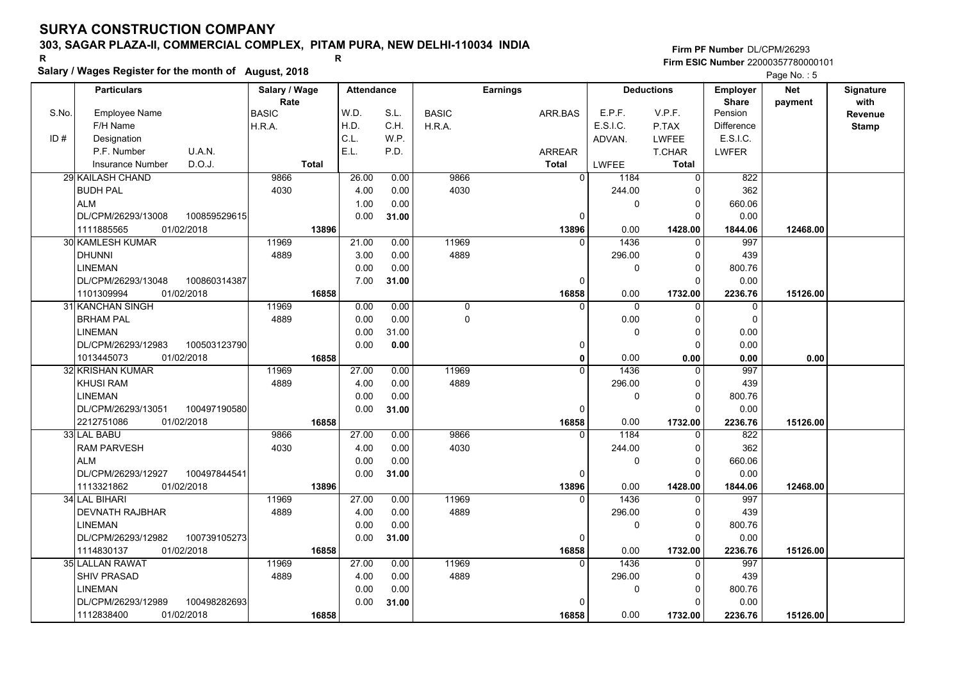## **303, SAGAR PLAZA-II, COMMERCIAL COMPLEX, PITAM PURA, NEW DELHI-110034 INDIA**

**Salary / Wages Register for the month of August, 2018 <sup>R</sup> <sup>R</sup>**

### **Firm PF Number**DL/CPM/26293**Firm ESIC Number** 22000357780000101

|       | <b>Particulars</b>                |              | Salary / Wage        |              | <b>Attendance</b> |       |              | <b>Earnings</b> |              |              | <b>Deductions</b> | Employer                | Net      | Signature |
|-------|-----------------------------------|--------------|----------------------|--------------|-------------------|-------|--------------|-----------------|--------------|--------------|-------------------|-------------------------|----------|-----------|
| S.No. | <b>Employee Name</b>              |              | Rate<br><b>BASIC</b> |              | W.D.              | S.L.  | <b>BASIC</b> | ARR.BAS         |              | E.P.F.       | V.P.F.            | <b>Share</b><br>Pension | payment  | with      |
|       | F/H Name                          |              | H.R.A.               |              | H.D.              | C.H.  | H.R.A.       |                 |              | E.S.I.C.     | P.TAX             | Difference              |          | Revenue   |
| ID#   | Designation                       |              |                      |              | C.L.              | W.P.  |              |                 |              | ADVAN.       | <b>LWFEE</b>      | E.S.I.C.                |          | Stamp     |
|       | U.A.N.<br>P.F. Number             |              |                      |              | E.L.              | P.D.  |              | <b>ARREAR</b>   |              |              | T.CHAR            | <b>LWFER</b>            |          |           |
|       | D.O.J.<br><b>Insurance Number</b> |              |                      | <b>Total</b> |                   |       |              | <b>Total</b>    |              | LWFEE        | <b>Total</b>      |                         |          |           |
|       |                                   |              |                      |              |                   |       |              |                 |              |              |                   |                         |          |           |
|       | 29 KAILASH CHAND                  |              | 9866                 |              | 26.00             | 0.00  | 9866         |                 | $\Omega$     | 1184         | $\Omega$          | 822                     |          |           |
|       | <b>BUDH PAL</b>                   |              | 4030                 |              | 4.00              | 0.00  | 4030         |                 |              | 244.00       | 0                 | 362                     |          |           |
|       | <b>ALM</b>                        |              |                      |              | 1.00              | 0.00  |              |                 |              | 0            | 0                 | 660.06                  |          |           |
|       | DL/CPM/26293/13008                | 100859529615 |                      |              | 0.00              | 31.00 |              |                 | $\mathbf 0$  |              | $\Omega$          | 0.00                    |          |           |
|       | 1111885565<br>01/02/2018          |              |                      | 13896        |                   |       |              | 13896           |              | 0.00         | 1428.00           | 1844.06                 | 12468.00 |           |
|       | 30 KAMLESH KUMAR                  |              | 11969                |              | 21.00             | 0.00  | 11969        |                 | $\Omega$     | 1436         | $\Omega$          | 997                     |          |           |
|       | <b>DHUNNI</b>                     |              | 4889                 |              | 3.00              | 0.00  | 4889         |                 |              | 296.00       | 0                 | 439                     |          |           |
|       | <b>LINEMAN</b>                    |              |                      |              | 0.00              | 0.00  |              |                 |              | 0            | 0                 | 800.76                  |          |           |
|       | DL/CPM/26293/13048                | 100860314387 |                      |              | 7.00              | 31.00 |              |                 | $\Omega$     |              | $\Omega$          | 0.00                    |          |           |
|       | 1101309994<br>01/02/2018          |              |                      | 16858        |                   |       |              | 16858           |              | 0.00         | 1732.00           | 2236.76                 | 15126.00 |           |
|       | 31 KANCHAN SINGH                  |              | 11969                |              | 0.00              | 0.00  | $\mathbf 0$  |                 |              | $\Omega$     | $\Omega$          | $\mathbf 0$             |          |           |
|       | <b>BRHAM PAL</b>                  |              | 4889                 |              | 0.00              | 0.00  | $\Omega$     |                 |              | 0.00         | $\Omega$          | $\mathbf 0$             |          |           |
|       | <b>LINEMAN</b>                    |              |                      |              | 0.00              | 31.00 |              |                 |              | $\mathbf{0}$ | $\Omega$          | 0.00                    |          |           |
|       | DL/CPM/26293/12983                | 100503123790 |                      |              | 0.00              | 0.00  |              |                 | 0            |              | $\Omega$          | 0.00                    |          |           |
|       | 01/02/2018<br>1013445073          |              |                      | 16858        |                   |       |              |                 | $\mathbf{0}$ | 0.00         | 0.00              | 0.00                    | 0.00     |           |
|       | 32 KRISHAN KUMAR                  |              | 11969                |              | 27.00             | 0.00  | 11969        |                 | $\Omega$     | 1436         | 0                 | 997                     |          |           |
|       | <b>KHUSI RAM</b>                  |              | 4889                 |              | 4.00              | 0.00  | 4889         |                 |              | 296.00       | $\Omega$          | 439                     |          |           |
|       | <b>LINEMAN</b>                    |              |                      |              | 0.00              | 0.00  |              |                 |              | 0            | 0                 | 800.76                  |          |           |
|       | DL/CPM/26293/13051                | 100497190580 |                      |              | 0.00              | 31.00 |              |                 | 0            |              | $\Omega$          | 0.00                    |          |           |
|       | 2212751086<br>01/02/2018          |              |                      | 16858        |                   |       |              | 16858           |              | 0.00         | 1732.00           | 2236.76                 | 15126.00 |           |
|       | 33 LAL BABU                       |              | 9866                 |              | 27.00             | 0.00  | 9866         |                 | $\Omega$     | 1184         | $\Omega$          | 822                     |          |           |
|       | <b>RAM PARVESH</b>                |              | 4030                 |              | 4.00              | 0.00  | 4030         |                 |              | 244.00       | $\Omega$          | 362                     |          |           |
|       | <b>ALM</b>                        |              |                      |              | 0.00              | 0.00  |              |                 |              | 0            | 0                 | 660.06                  |          |           |
|       | DL/CPM/26293/12927                | 100497844541 |                      |              | 0.00              | 31.00 |              |                 | 0            |              | $\Omega$          | 0.00                    |          |           |
|       | 1113321862<br>01/02/2018          |              |                      | 13896        |                   |       |              | 13896           |              | 0.00         | 1428.00           | 1844.06                 | 12468.00 |           |
|       | 34 LAL BIHARI                     |              | 11969                |              | 27.00             | 0.00  | 11969        |                 | $\Omega$     | 1436         | $\Omega$          | 997                     |          |           |
|       | <b>DEVNATH RAJBHAR</b>            |              | 4889                 |              | 4.00              | 0.00  | 4889         |                 |              | 296.00       | $\Omega$          | 439                     |          |           |
|       | <b>LINEMAN</b>                    |              |                      |              | 0.00              | 0.00  |              |                 |              | 0            | $\Omega$          | 800.76                  |          |           |
|       | DL/CPM/26293/12982                | 100739105273 |                      |              | 0.00              | 31.00 |              |                 | $\mathbf 0$  |              | $\Omega$          | 0.00                    |          |           |
|       | 01/02/2018<br>1114830137          |              |                      | 16858        |                   |       |              | 16858           |              | 0.00         | 1732.00           | 2236.76                 | 15126.00 |           |
|       | 35 LALLAN RAWAT                   |              | 11969                |              | 27.00             | 0.00  | 11969        |                 | $\Omega$     | 1436         | $\Omega$          | 997                     |          |           |
|       | SHIV PRASAD                       |              | 4889                 |              | 4.00              | 0.00  | 4889         |                 |              | 296.00       | $\Omega$          | 439                     |          |           |
|       | <b>LINEMAN</b>                    |              |                      |              | 0.00              | 0.00  |              |                 |              | 0            | 0                 | 800.76                  |          |           |
|       | DL/CPM/26293/12989                | 100498282693 |                      |              | 0.00              | 31.00 |              |                 | 0            |              | $\Omega$          | 0.00                    |          |           |
|       | 01/02/2018<br>1112838400          |              |                      | 16858        |                   |       |              | 16858           |              | 0.00         | 1732.00           | 2236.76                 | 15126.00 |           |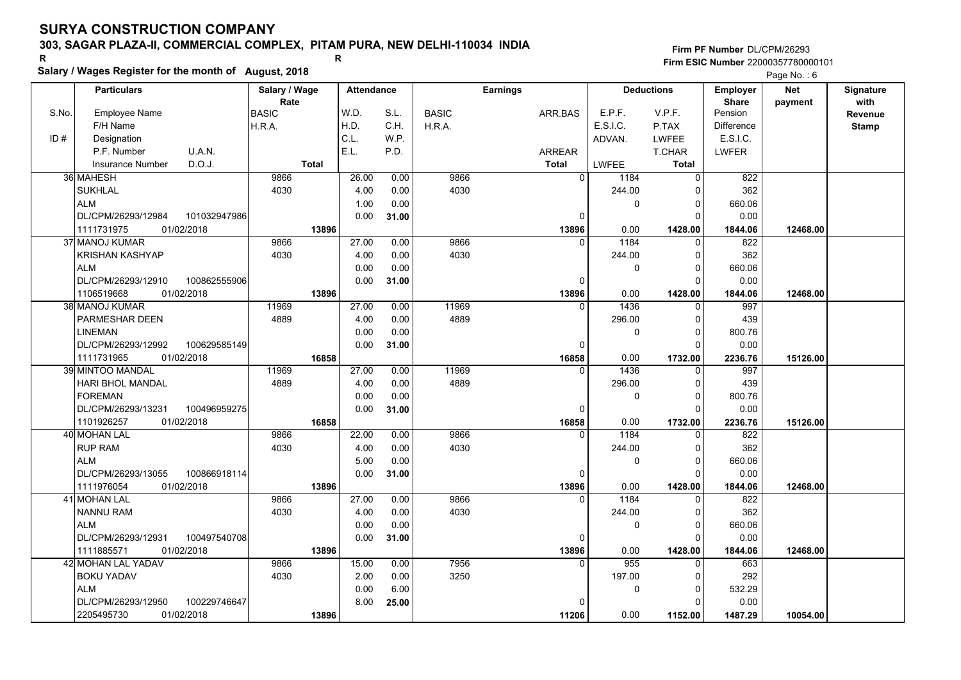## **303, SAGAR PLAZA-II, COMMERCIAL COMPLEX, PITAM PURA, NEW DELHI-110034 INDIA**

**Salary / Wages Register for the month of August, 2018 <sup>R</sup> <sup>R</sup>**

**Firm PF Number**DL/CPM/26293**Firm ESIC Number** 22000357780000101

|       | <b>Particulars</b>                 | Salary / Wage        | <b>Attendance</b> |       |              | <b>Earnings</b> |                        | <b>Deductions</b> | Employer                | <b>Net</b> | Signature<br>with |
|-------|------------------------------------|----------------------|-------------------|-------|--------------|-----------------|------------------------|-------------------|-------------------------|------------|-------------------|
| S.No. | Employee Name                      | Rate<br><b>BASIC</b> | W.D.              | S.L.  | <b>BASIC</b> | ARR.BAS         | E.P.F.                 | V.P.F.            | <b>Share</b><br>Pension | payment    | Revenue           |
|       | F/H Name                           | H.R.A.               | H.D.              | C.H.  | H.R.A.       |                 | E.S.I.C.               | P.TAX             | <b>Difference</b>       |            | <b>Stamp</b>      |
| ID#   | Designation                        |                      | C.L.              | W.P.  |              |                 | ADVAN.                 | <b>LWFEE</b>      | E.S.I.C.                |            |                   |
|       | U.A.N.<br>P.F. Number              |                      | E.L.              | P.D.  |              | <b>ARREAR</b>   |                        | T.CHAR            | <b>LWFER</b>            |            |                   |
|       | D.O.J.<br><b>Insurance Number</b>  | <b>Total</b>         |                   |       |              | <b>Total</b>    | <b>LWFEE</b>           | <b>Total</b>      |                         |            |                   |
|       | 36 MAHESH                          | 9866                 | 26.00             | 0.00  | 9866         |                 | $\overline{0}$<br>1184 | 0                 | 822                     |            |                   |
|       | <b>SUKHLAL</b>                     | 4030                 | 4.00              | 0.00  | 4030         |                 | 244.00                 | 0                 | 362                     |            |                   |
|       | <b>ALM</b>                         |                      | 1.00              | 0.00  |              |                 | 0                      | $\mathbf 0$       | 660.06                  |            |                   |
|       | DL/CPM/26293/12984<br>101032947986 |                      | 0.00              | 31.00 |              |                 | $\Omega$               | $\Omega$          | 0.00                    |            |                   |
|       | 1111731975<br>01/02/2018           | 13896                |                   |       |              | 13896           | 0.00                   | 1428.00           | 1844.06                 | 12468.00   |                   |
|       | 37 MANOJ KUMAR                     | 9866                 | 27.00             | 0.00  | 9866         |                 | 1184<br>0              | $\mathbf 0$       | 822                     |            |                   |
|       | KRISHAN KASHYAP                    | 4030                 | 4.00              | 0.00  | 4030         |                 | 244.00                 | $\mathbf 0$       | 362                     |            |                   |
|       | <b>ALM</b>                         |                      | 0.00              | 0.00  |              |                 | 0                      | $\mathbf 0$       | 660.06                  |            |                   |
|       | DL/CPM/26293/12910<br>100862555906 |                      | 0.00              | 31.00 |              |                 | $\Omega$               | 0                 | 0.00                    |            |                   |
|       | 1106519668<br>01/02/2018           | 13896                |                   |       |              | 13896           | 0.00                   | 1428.00           | 1844.06                 | 12468.00   |                   |
|       | 38  MANOJ KUMAR                    | 11969                | 27.00             | 0.00  | 11969        |                 | 1436<br>$\Omega$       | $\mathbf 0$       | 997                     |            |                   |
|       | PARMESHAR DEEN                     | 4889                 | 4.00              | 0.00  | 4889         |                 | 296.00                 | $\mathbf 0$       | 439                     |            |                   |
|       | <b>LINEMAN</b>                     |                      | 0.00              | 0.00  |              |                 | 0                      | $\mathbf 0$       | 800.76                  |            |                   |
|       | DL/CPM/26293/12992<br>100629585149 |                      | 0.00              | 31.00 |              |                 | $\Omega$               | $\Omega$          | 0.00                    |            |                   |
|       | 1111731965<br>01/02/2018           | 16858                |                   |       |              | 16858           | 0.00                   | 1732.00           | 2236.76                 | 15126.00   |                   |
|       | 39 MINTOO MANDAL                   | 11969                | 27.00             | 0.00  | 11969        |                 | 1436<br>0              | $\Omega$          | 997                     |            |                   |
|       | <b>HARI BHOL MANDAL</b>            | 4889                 | 4.00              | 0.00  | 4889         |                 | 296.00                 | $\mathbf 0$       | 439                     |            |                   |
|       | <b>FOREMAN</b>                     |                      | 0.00              | 0.00  |              |                 | 0                      | $\mathbf 0$       | 800.76                  |            |                   |
|       | DL/CPM/26293/13231<br>100496959275 |                      | 0.00              | 31.00 |              |                 | $\Omega$               | $\Omega$          | 0.00                    |            |                   |
|       | 1101926257<br>01/02/2018           | 16858                |                   |       |              | 16858           | 0.00                   | 1732.00           | 2236.76                 | 15126.00   |                   |
|       | 40 MOHAN LAL                       | 9866                 | 22.00             | 0.00  | 9866         |                 | 1184<br>$\Omega$       | $\Omega$          | 822                     |            |                   |
|       | <b>RUP RAM</b>                     | 4030                 | 4.00              | 0.00  | 4030         |                 | 244.00                 | $\Omega$          | 362                     |            |                   |
|       | <b>ALM</b>                         |                      | 5.00              | 0.00  |              |                 | 0                      | $\mathbf 0$       | 660.06                  |            |                   |
|       | DL/CPM/26293/13055<br>100866918114 |                      | 0.00              | 31.00 |              |                 | 0                      | $\mathbf 0$       | 0.00                    |            |                   |
|       | 1111976054<br>01/02/2018           | 13896                |                   |       |              | 13896           | 0.00                   | 1428.00           | 1844.06                 | 12468.00   |                   |
|       | 41 MOHAN LAL                       | 9866                 | 27.00             | 0.00  | 9866         |                 | 1184<br>$\Omega$       | $\Omega$          | 822                     |            |                   |
|       | <b>NANNU RAM</b>                   | 4030                 | 4.00              | 0.00  | 4030         |                 | 244.00                 | 0                 | 362                     |            |                   |
|       | <b>ALM</b>                         |                      | 0.00              | 0.00  |              |                 | 0                      | $\mathbf 0$       | 660.06                  |            |                   |
|       | 100497540708<br>DL/CPM/26293/12931 |                      | 0.00              | 31.00 |              |                 | 0                      | $\Omega$          | 0.00                    |            |                   |
|       | 1111885571<br>01/02/2018           | 13896                |                   |       |              | 13896           | 0.00                   | 1428.00           | 1844.06                 | 12468.00   |                   |
|       | <b>42 MOHAN LAL YADAV</b>          | 9866                 | 15.00             | 0.00  | 7956         |                 | 955<br>$\Omega$        | $\Omega$          | 663                     |            |                   |
|       | <b>BOKU YADAV</b>                  | 4030                 | 2.00              | 0.00  | 3250         |                 | 197.00                 | $\mathbf 0$       | 292                     |            |                   |
|       | <b>ALM</b>                         |                      | 0.00              | 6.00  |              |                 | 0                      | $\mathbf 0$       | 532.29                  |            |                   |
|       | DL/CPM/26293/12950<br>100229746647 |                      | 8.00              | 25.00 |              |                 | U                      | $\Omega$          | 0.00                    |            |                   |
|       | 2205495730<br>01/02/2018           | 13896                |                   |       |              | 11206           | 0.00                   | 1152.00           | 1487.29                 | 10054.00   |                   |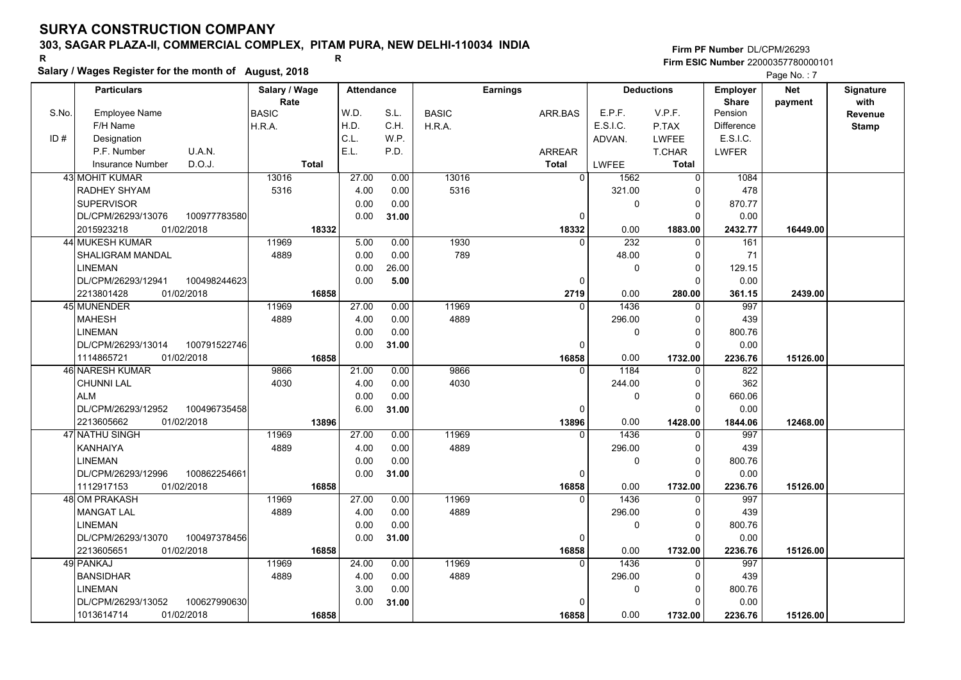## **303, SAGAR PLAZA-II, COMMERCIAL COMPLEX, PITAM PURA, NEW DELHI-110034 INDIA**

**Salary / Wages Register for the month of August, 2018 <sup>R</sup> <sup>R</sup>**

**Firm PF Number**DL/CPM/26293**Firm ESIC Number** 22000357780000101

|       | <b>Particulars</b>                |              | Salary / Wage        |              | <b>Attendance</b> |       |              | <b>Earnings</b> |               |              | <b>Deductions</b> | Employer                | Net      | Signature       |
|-------|-----------------------------------|--------------|----------------------|--------------|-------------------|-------|--------------|-----------------|---------------|--------------|-------------------|-------------------------|----------|-----------------|
| S.No. | Employee Name                     |              | Rate<br><b>BASIC</b> |              | W.D.              | S.L.  | <b>BASIC</b> |                 | ARR.BAS       | E.P.F.       | V.P.F.            | <b>Share</b><br>Pension | payment  | with<br>Revenue |
|       | F/H Name                          |              | H.R.A.               |              | H.D.              | C.H.  | H.R.A.       |                 |               | E.S.I.C.     | P.TAX             | <b>Difference</b>       |          | <b>Stamp</b>    |
| ID#   | Designation                       |              |                      |              | C.L.              | W.P.  |              |                 |               | ADVAN.       | <b>LWFEE</b>      | E.S.I.C.                |          |                 |
|       | U.A.N.<br>P.F. Number             |              |                      |              | E.L.              | P.D.  |              |                 | <b>ARREAR</b> |              | <b>T.CHAR</b>     | <b>LWFER</b>            |          |                 |
|       | D.O.J.<br><b>Insurance Number</b> |              |                      | <b>Total</b> |                   |       |              |                 | <b>Total</b>  | <b>LWFEE</b> | <b>Total</b>      |                         |          |                 |
|       | 43l MOHIT KUMAR                   |              | 13016                |              | 27.00             | 0.00  | 13016        |                 | $\Omega$      | 1562         | $\Omega$          | 1084                    |          |                 |
|       | RADHEY SHYAM                      |              | 5316                 |              | 4.00              | 0.00  | 5316         |                 |               | 321.00       | $\Omega$          | 478                     |          |                 |
|       | <b>SUPERVISOR</b>                 |              |                      |              | 0.00              | 0.00  |              |                 |               | $\mathbf 0$  | 0                 | 870.77                  |          |                 |
|       | DL/CPM/26293/13076                | 100977783580 |                      |              | 0.00              | 31.00 |              |                 | $\Omega$      |              | $\Omega$          | 0.00                    |          |                 |
|       | 2015923218<br>01/02/2018          |              |                      | 18332        |                   |       |              |                 | 18332         | 0.00         | 1883.00           | 2432.77                 | 16449.00 |                 |
|       | 44 MUKESH KUMAR                   |              | 11969                |              | 5.00              | 0.00  | 1930         |                 | $\Omega$      | 232          | $\Omega$          | 161                     |          |                 |
|       | SHALIGRAM MANDAL                  |              | 4889                 |              | 0.00              | 0.00  | 789          |                 |               | 48.00        | $\Omega$          | 71                      |          |                 |
|       | <b>LINEMAN</b>                    |              |                      |              | 0.00              | 26.00 |              |                 |               | 0            | $\Omega$          | 129.15                  |          |                 |
|       | DL/CPM/26293/12941                | 100498244623 |                      |              | 0.00              | 5.00  |              |                 | 0             |              | $\Omega$          | 0.00                    |          |                 |
|       | 01/02/2018<br>2213801428          |              |                      | 16858        |                   |       |              |                 | 2719          | 0.00         | 280.00            | 361.15                  | 2439.00  |                 |
|       | 45 MUNENDER                       |              | 11969                |              | 27.00             | 0.00  | 11969        |                 | $\Omega$      | 1436         | $\Omega$          | 997                     |          |                 |
|       | <b>MAHESH</b>                     |              | 4889                 |              | 4.00              | 0.00  | 4889         |                 |               | 296.00       | $\Omega$          | 439                     |          |                 |
|       | <b>LINEMAN</b>                    |              |                      |              | 0.00              | 0.00  |              |                 |               | 0            | $\Omega$          | 800.76                  |          |                 |
|       | DL/CPM/26293/13014                | 100791522746 |                      |              | 0.00              | 31.00 |              |                 | $\Omega$      |              | $\Omega$          | 0.00                    |          |                 |
|       | 1114865721<br>01/02/2018          |              |                      | 16858        |                   |       |              |                 | 16858         | 0.00         | 1732.00           | 2236.76                 | 15126.00 |                 |
|       | 46 NARESH KUMAR                   |              | 9866                 |              | 21.00             | 0.00  | 9866         |                 | $\Omega$      | 1184         | $\Omega$          | 822                     |          |                 |
|       | <b>CHUNNI LAL</b>                 |              | 4030                 |              | 4.00              | 0.00  | 4030         |                 |               | 244.00       | $\Omega$          | 362                     |          |                 |
|       | <b>ALM</b>                        |              |                      |              | 0.00              | 0.00  |              |                 |               | 0            | $\Omega$          | 660.06                  |          |                 |
|       | DL/CPM/26293/12952                | 100496735458 |                      |              | 6.00              | 31.00 |              |                 | $\Omega$      |              | $\Omega$          | 0.00                    |          |                 |
|       | 2213605662<br>01/02/2018          |              |                      | 13896        |                   |       |              |                 | 13896         | 0.00         | 1428.00           | 1844.06                 | 12468.00 |                 |
|       | 47 NATHU SINGH                    |              | 11969                |              | 27.00             | 0.00  | 11969        |                 | $\Omega$      | 1436         | U                 | 997                     |          |                 |
|       | <b>KANHAIYA</b>                   |              | 4889                 |              | 4.00              | 0.00  | 4889         |                 |               | 296.00       | $\Omega$          | 439                     |          |                 |
|       | <b>LINEMAN</b>                    |              |                      |              | 0.00              | 0.00  |              |                 |               | $\mathbf 0$  | $\mathbf 0$       | 800.76                  |          |                 |
|       | DL/CPM/26293/12996                | 100862254661 |                      |              | 0.00              | 31.00 |              |                 | $\Omega$      |              | $\Omega$          | 0.00                    |          |                 |
|       | 1112917153<br>01/02/2018          |              |                      | 16858        |                   |       |              |                 | 16858         | 0.00         | 1732.00           | 2236.76                 | 15126.00 |                 |
|       | 48 OM PRAKASH                     |              | 11969                |              | 27.00             | 0.00  | 11969        |                 |               | 1436         | U                 | 997                     |          |                 |
|       | <b>MANGAT LAL</b>                 |              | 4889                 |              | 4.00              | 0.00  | 4889         |                 |               | 296.00       | 0                 | 439                     |          |                 |
|       | <b>LINEMAN</b>                    |              |                      |              | 0.00              | 0.00  |              |                 |               | $\pmb{0}$    | $\Omega$          | 800.76                  |          |                 |
|       | DL/CPM/26293/13070                | 100497378456 |                      |              | 0.00              | 31.00 |              |                 | $\Omega$      |              | $\Omega$          | 0.00                    |          |                 |
|       | 01/02/2018<br>2213605651          |              |                      | 16858        |                   |       |              |                 | 16858         | 0.00         | 1732.00           | 2236.76                 | 15126.00 |                 |
|       | 49 PANKAJ                         |              | 11969                |              | 24.00             | 0.00  | 11969        |                 | $\Omega$      | 1436         | $\Omega$          | 997                     |          |                 |
|       | <b>BANSIDHAR</b>                  |              | 4889                 |              | 4.00              | 0.00  | 4889         |                 |               | 296.00       | 0                 | 439                     |          |                 |
|       | <b>LINEMAN</b>                    |              |                      |              | 3.00              | 0.00  |              |                 |               | 0            | $\Omega$          | 800.76                  |          |                 |
|       | DL/CPM/26293/13052                | 100627990630 |                      |              | 0.00              | 31.00 |              |                 |               |              | $\Omega$          | 0.00                    |          |                 |
|       | 1013614714<br>01/02/2018          |              |                      | 16858        |                   |       |              |                 | 16858         | 0.00         | 1732.00           | 2236.76                 | 15126.00 |                 |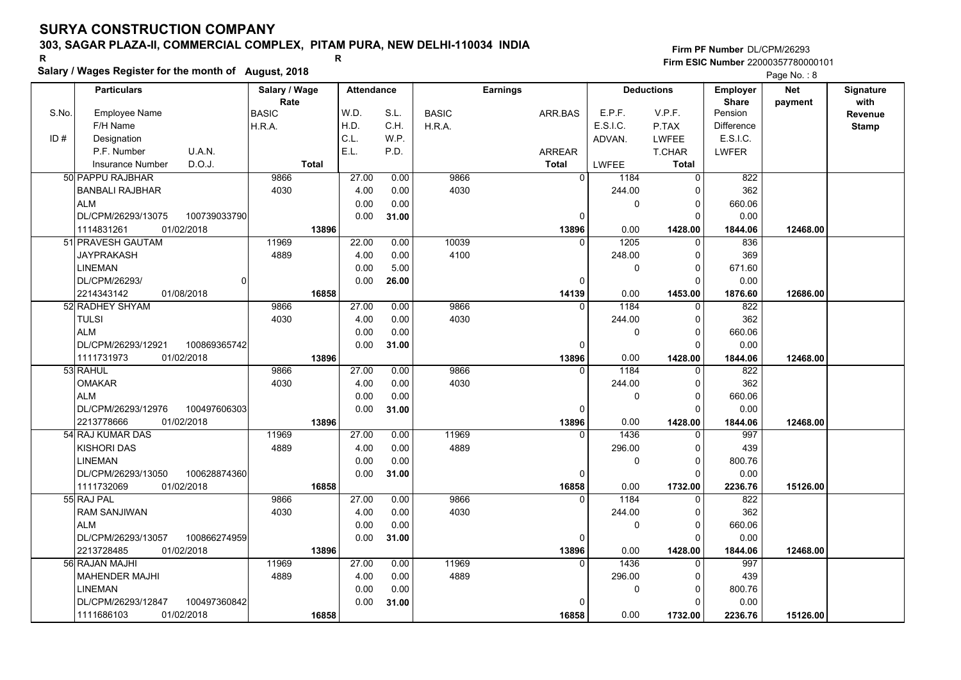### **303, SAGAR PLAZA-II, COMMERCIAL COMPLEX, PITAM PURA, NEW DELHI-110034 INDIA**

**Salary / Wages Register for the month of August, 2018 <sup>R</sup> <sup>R</sup>**

**Firm PF Number**DL/CPM/26293**Firm ESIC Number** 22000357780000101

|       | <b>Particulars</b>                           | Salary / Wage        | <b>Attendance</b> |       |              | <b>Earnings</b>   |              | <b>Deductions</b>      | Employer                | <b>Net</b> | Signature       |
|-------|----------------------------------------------|----------------------|-------------------|-------|--------------|-------------------|--------------|------------------------|-------------------------|------------|-----------------|
| S.No. | Employee Name                                | Rate<br><b>BASIC</b> | W.D.              | S.L.  | <b>BASIC</b> | ARR.BAS           | E.P.F.       | V.P.F.                 | <b>Share</b><br>Pension | payment    | with<br>Revenue |
|       | F/H Name                                     | H.R.A.               | H.D.              | C.H.  | H.R.A.       |                   | E.S.I.C.     | P.TAX                  | <b>Difference</b>       |            | <b>Stamp</b>    |
| ID#   | Designation                                  |                      | C.L.              | W.P.  |              |                   | ADVAN.       | <b>LWFEE</b>           | E.S.I.C.                |            |                 |
|       | U.A.N.<br>P.F. Number                        |                      | E.L.              | P.D.  |              | ARREAR            |              | T.CHAR                 | <b>LWFER</b>            |            |                 |
|       | D.O.J.<br><b>Insurance Number</b>            | <b>Total</b>         |                   |       |              | <b>Total</b>      | <b>LWFEE</b> | <b>Total</b>           |                         |            |                 |
|       | 50 PAPPU RAJBHAR                             | 9866                 | 27.00             | 0.00  | 9866         | $\overline{0}$    | 1184         | 0                      | 822                     |            |                 |
|       | <b>BANBALI RAJBHAR</b>                       | 4030                 | 4.00              | 0.00  | 4030         |                   | 244.00       | 0                      | 362                     |            |                 |
|       | <b>ALM</b>                                   |                      | 0.00              | 0.00  |              |                   | 0            | $\Omega$               | 660.06                  |            |                 |
|       | DL/CPM/26293/13075<br>100739033790           |                      | 0.00              |       |              | 0                 |              | $\Omega$               | 0.00                    |            |                 |
|       | 01/02/2018<br>1114831261                     | 13896                |                   | 31.00 |              | 13896             | 0.00         | 1428.00                | 1844.06                 | 12468.00   |                 |
|       | 51 PRAVESH GAUTAM                            | 11969                | 22.00             | 0.00  | 10039        | $\mathbf{0}$      | 1205         | $\mathbf 0$            | 836                     |            |                 |
|       | <b>JAYPRAKASH</b>                            | 4889                 | 4.00              | 0.00  | 4100         |                   | 248.00       | $\Omega$               | 369                     |            |                 |
|       | <b>LINEMAN</b>                               |                      |                   |       |              |                   |              | $\Omega$               |                         |            |                 |
|       | DL/CPM/26293/                                |                      | 0.00              | 5.00  |              | $\Omega$          | 0            | $\Omega$               | 671.60                  |            |                 |
|       | $\Omega$                                     |                      | 0.00              | 26.00 |              |                   |              |                        | 0.00                    |            |                 |
|       | 2214343142<br>01/08/2018<br>52 RADHEY SHYAM  | 16858<br>9866        | 27.00             | 0.00  | 9866         | 14139<br>$\Omega$ | 0.00<br>1184 | 1453.00<br>$\mathbf 0$ | 1876.60<br>822          | 12686.00   |                 |
|       | <b>TULSI</b>                                 | 4030                 | 4.00              | 0.00  | 4030         |                   |              | $\Omega$               | 362                     |            |                 |
|       | <b>ALM</b>                                   |                      |                   |       |              |                   | 244.00       | $\Omega$               |                         |            |                 |
|       |                                              |                      | 0.00              | 0.00  |              | $\Omega$          | 0            | $\Omega$               | 660.06                  |            |                 |
|       | 100869365742<br>DL/CPM/26293/12921           |                      | 0.00              | 31.00 |              |                   |              |                        | 0.00                    |            |                 |
|       | 1111731973<br>01/02/2018                     | 13896                | 27.00             |       | 9866         | 13896<br>0        | 0.00<br>1184 | 1428.00                | 1844.06<br>822          | 12468.00   |                 |
|       | 53 RAHUL<br><b>OMAKAR</b>                    | 9866                 |                   | 0.00  | 4030         |                   |              | 0<br>$\Omega$          |                         |            |                 |
|       | <b>ALM</b>                                   | 4030                 | 4.00              | 0.00  |              |                   | 244.00       | $\Omega$               | 362                     |            |                 |
|       |                                              |                      | 0.00              | 0.00  |              |                   | 0            |                        | 660.06                  |            |                 |
|       | DL/CPM/26293/12976<br>100497606303           |                      | 0.00              | 31.00 |              | 0                 |              | $\Omega$               | 0.00                    |            |                 |
|       | 2213778666<br>01/02/2018<br>54 RAJ KUMAR DAS | 13896<br>11969       | 27.00             | 0.00  | 11969        | 13896<br>$\Omega$ | 0.00<br>1436 | 1428.00                | 1844.06<br>997          | 12468.00   |                 |
|       |                                              |                      |                   |       |              |                   |              | 0                      |                         |            |                 |
|       | <b>KISHORI DAS</b>                           | 4889                 | 4.00              | 0.00  | 4889         |                   | 296.00       | $\Omega$               | 439                     |            |                 |
|       | <b>LINEMAN</b>                               |                      | 0.00              | 0.00  |              |                   | 0            | $\Omega$               | 800.76                  |            |                 |
|       | DL/CPM/26293/13050<br>100628874360           |                      | 0.00              | 31.00 |              | 0                 |              | $\Omega$               | 0.00                    |            |                 |
|       | 1111732069<br>01/02/2018                     | 16858                |                   |       |              | 16858             | 0.00         | 1732.00                | 2236.76                 | 15126.00   |                 |
|       | 55 RAJ PAL                                   | 9866                 | 27.00             | 0.00  | 9866         | $\Omega$          | 1184         | $\Omega$               | 822                     |            |                 |
|       | <b>RAM SANJIWAN</b>                          | 4030                 | 4.00              | 0.00  | 4030         |                   | 244.00       | $\Omega$               | 362                     |            |                 |
|       | <b>ALM</b>                                   |                      | 0.00              | 0.00  |              |                   | 0            | 0                      | 660.06                  |            |                 |
|       | 100866274959<br>DL/CPM/26293/13057           |                      | 0.00              | 31.00 |              | 0                 |              | $\Omega$               | 0.00                    |            |                 |
|       | 01/02/2018<br>2213728485                     | 13896                |                   |       |              | 13896             | 0.00         | 1428.00                | 1844.06                 | 12468.00   |                 |
|       | 56 RAJAN MAJHI                               | 11969                | 27.00             | 0.00  | 11969        | $\Omega$          | 1436         | $\Omega$               | 997                     |            |                 |
|       | <b>MAHENDER MAJHI</b>                        | 4889                 | 4.00              | 0.00  | 4889         |                   | 296.00       | $\Omega$               | 439                     |            |                 |
|       | <b>LINEMAN</b>                               |                      | 0.00              | 0.00  |              |                   | 0            | $\Omega$               | 800.76                  |            |                 |
|       | 100497360842<br>DL/CPM/26293/12847           |                      | 0.00              | 31.00 |              | $\Omega$          |              | $\Omega$               | 0.00                    |            |                 |
|       | 01/02/2018<br>1111686103                     | 16858                |                   |       |              | 16858             | 0.00         | 1732.00                | 2236.76                 | 15126.00   |                 |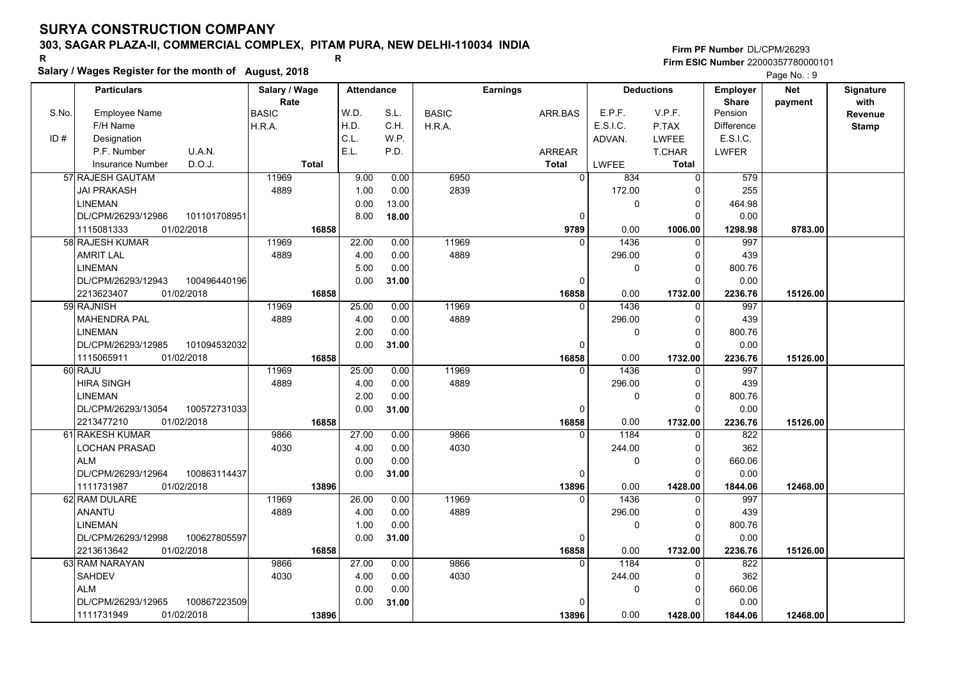### **303, SAGAR PLAZA-II, COMMERCIAL COMPLEX, PITAM PURA, NEW DELHI-110034 INDIA**

**Salary / Wages Register for the month of August, 2018 <sup>R</sup> <sup>R</sup>**

### **Firm PF Number**DL/CPM/26293**Firm ESIC Number** 22000357780000101

|       | <b>Particulars</b>                 | Salary / Wage        | <b>Attendance</b> |       |              | <b>Earnings</b> |                       | <b>Deductions</b> | Employer                | <b>Net</b> | Signature<br>with |
|-------|------------------------------------|----------------------|-------------------|-------|--------------|-----------------|-----------------------|-------------------|-------------------------|------------|-------------------|
| S.No. | Employee Name                      | Rate<br><b>BASIC</b> | W.D.              | S.L.  | <b>BASIC</b> | ARR.BAS         | E.P.F.                | V.P.F.            | <b>Share</b><br>Pension | payment    | Revenue           |
|       | F/H Name                           | H.R.A.               | H.D.              | C.H.  | H.R.A.       |                 | E.S.I.C.              | P.TAX             | <b>Difference</b>       |            | <b>Stamp</b>      |
| ID#   | Designation                        |                      | C.L.              | W.P.  |              |                 | ADVAN.                | <b>LWFEE</b>      | E.S.I.C.                |            |                   |
|       | U.A.N.<br>P.F. Number              |                      | E.L.              | P.D.  |              | ARREAR          |                       | T.CHAR            | <b>LWFER</b>            |            |                   |
|       | D.O.J.<br>Insurance Number         | <b>Total</b>         |                   |       |              | <b>Total</b>    | <b>LWFEE</b>          | <b>Total</b>      |                         |            |                   |
|       | 57 RAJESH GAUTAM                   | 11969                | 9.00              | 0.00  | 6950         |                 | $\overline{0}$<br>834 | 0                 | 579                     |            |                   |
|       | <b>JAI PRAKASH</b>                 | 4889                 | 1.00              | 0.00  | 2839         |                 | 172.00                | $\Omega$          | 255                     |            |                   |
|       | <b>LINEMAN</b>                     |                      | 0.00              | 13.00 |              |                 | 0                     | $\Omega$          | 464.98                  |            |                   |
|       | DL/CPM/26293/12986<br>101101708951 |                      | 8.00              | 18.00 |              |                 | 0                     | $\Omega$          | 0.00                    |            |                   |
|       | 1115081333<br>01/02/2018           | 16858                |                   |       |              | 9789            | 0.00                  | 1006.00           | 1298.98                 | 8783.00    |                   |
|       | 58 RAJESH KUMAR                    | 11969                | 22.00             | 0.00  | 11969        |                 | 1436<br>$\Omega$      | $\Omega$          | 997                     |            |                   |
|       | <b>AMRIT LAL</b>                   | 4889                 | 4.00              | 0.00  | 4889         |                 | 296.00                | 0                 | 439                     |            |                   |
|       | <b>LINEMAN</b>                     |                      | 5.00              | 0.00  |              |                 | 0                     | $\Omega$          | 800.76                  |            |                   |
|       | DL/CPM/26293/12943<br>100496440196 |                      | 0.00              | 31.00 |              |                 | 0                     | 0                 | 0.00                    |            |                   |
|       | 2213623407<br>01/02/2018           | 16858                |                   |       |              | 16858           | 0.00                  | 1732.00           | 2236.76                 | 15126.00   |                   |
|       | 59 RAJNISH                         | 11969                | 25.00             | 0.00  | 11969        |                 | $\Omega$<br>1436      | $\Omega$          | 997                     |            |                   |
|       | <b>MAHENDRA PAL</b>                | 4889                 | 4.00              | 0.00  | 4889         |                 | 296.00                | $\Omega$          | 439                     |            |                   |
|       | <b>LINEMAN</b>                     |                      | 2.00              | 0.00  |              |                 | 0                     | $\Omega$          | 800.76                  |            |                   |
|       | DL/CPM/26293/12985<br>101094532032 |                      | 0.00              | 31.00 |              |                 | $\Omega$              | $\Omega$          | 0.00                    |            |                   |
|       | 1115065911<br>01/02/2018           | 16858                |                   |       |              | 16858           | 0.00                  | 1732.00           | 2236.76                 | 15126.00   |                   |
|       | 60 RAJU                            | 11969                | 25.00             | 0.00  | 11969        |                 | 1436<br>$\Omega$      | $\Omega$          | 997                     |            |                   |
|       | <b>HIRA SINGH</b>                  | 4889                 | 4.00              | 0.00  | 4889         |                 | 296.00                | $\mathbf 0$       | 439                     |            |                   |
|       | <b>LINEMAN</b>                     |                      | 2.00              | 0.00  |              |                 | 0                     | $\Omega$          | 800.76                  |            |                   |
|       | DL/CPM/26293/13054<br>100572731033 |                      | 0.00              | 31.00 |              |                 | $\Omega$              | $\Omega$          | 0.00                    |            |                   |
|       | 2213477210<br>01/02/2018           | 16858                |                   |       |              | 16858           | 0.00                  | 1732.00           | 2236.76                 | 15126.00   |                   |
|       | 61 RAKESH KUMAR                    | 9866                 | 27.00             | 0.00  | 9866         |                 | 1184<br>$\Omega$      | $\Omega$          | 822                     |            |                   |
|       | LOCHAN PRASAD                      | 4030                 | 4.00              | 0.00  | 4030         |                 | 244.00                | 0                 | 362                     |            |                   |
|       | <b>ALM</b>                         |                      | 0.00              | 0.00  |              |                 | 0                     | $\Omega$          | 660.06                  |            |                   |
|       | 100863114437<br>DL/CPM/26293/12964 |                      | 0.00              | 31.00 |              |                 | 0                     | $\Omega$          | 0.00                    |            |                   |
|       | 1111731987<br>01/02/2018           | 13896                |                   |       |              | 13896           | 0.00                  | 1428.00           | 1844.06                 | 12468.00   |                   |
|       | 62 RAM DULARE                      | 11969                | 26.00             | 0.00  | 11969        |                 | 1436<br>0             | $\mathbf 0$       | 997                     |            |                   |
|       | <b>ANANTU</b>                      | 4889                 | 4.00              | 0.00  | 4889         |                 | 296.00                | $\Omega$          | 439                     |            |                   |
|       | <b>LINEMAN</b>                     |                      | 1.00              | 0.00  |              |                 | 0                     | $\mathbf 0$       | 800.76                  |            |                   |
|       | DL/CPM/26293/12998<br>100627805597 |                      | 0.00              | 31.00 |              |                 | 0                     | $\Omega$          | 0.00                    |            |                   |
|       | 01/02/2018<br>2213613642           | 16858                |                   |       |              | 16858           | 0.00                  | 1732.00           | 2236.76                 | 15126.00   |                   |
|       | 63 RAM NARAYAN                     | 9866                 | 27.00             | 0.00  | 9866         |                 | 1184<br>$\Omega$      | $\Omega$          | 822                     |            |                   |
|       | SAHDEV                             | 4030                 | 4.00              | 0.00  | 4030         |                 | 244.00                | $\Omega$          | 362                     |            |                   |
|       | <b>ALM</b>                         |                      | 0.00              | 0.00  |              |                 | 0                     | $\Omega$          | 660.06                  |            |                   |
|       | 100867223509<br>DL/CPM/26293/12965 |                      | 0.00              | 31.00 |              |                 | $\Omega$              | $\Omega$          | 0.00                    |            |                   |
|       | 01/02/2018<br>1111731949           | 13896                |                   |       |              | 13896           | 0.00                  | 1428.00           | 1844.06                 | 12468.00   |                   |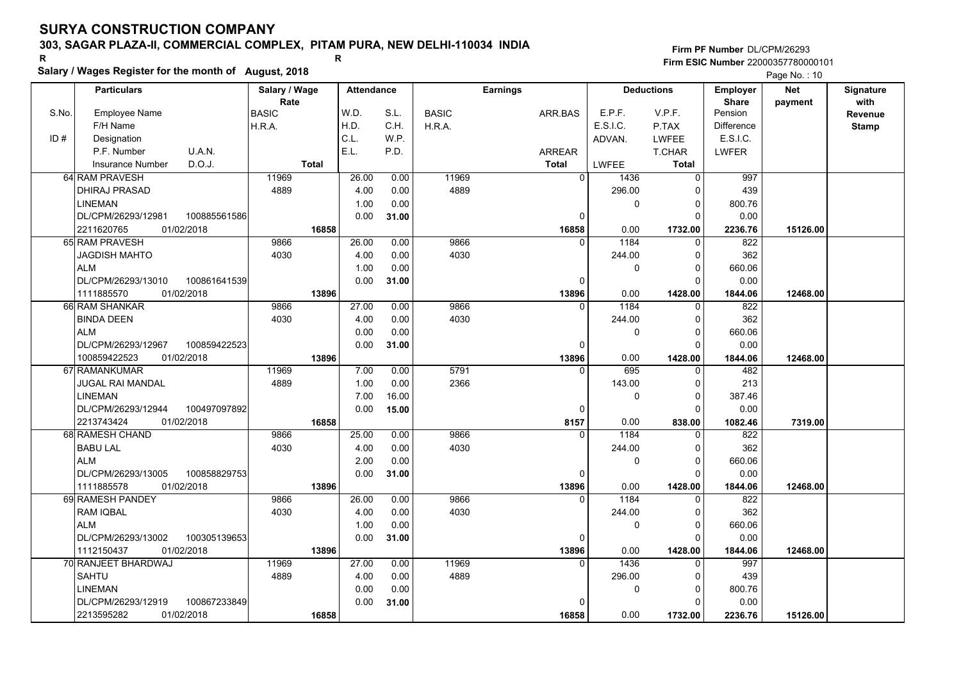## **303, SAGAR PLAZA-II, COMMERCIAL COMPLEX, PITAM PURA, NEW DELHI-110034 INDIA**

**Salary / Wages Register for the month of August, 2018 <sup>R</sup> <sup>R</sup>**

### **Firm PF Number**DL/CPM/26293**Firm ESIC Number** 22000357780000101

|       | <b>Particulars</b>                 | Salary / Wage |              | <b>Attendance</b> |       |              | <b>Earnings</b> |               |          | <b>Deductions</b> | <b>Employer</b>   | <b>Net</b> | Signature    |
|-------|------------------------------------|---------------|--------------|-------------------|-------|--------------|-----------------|---------------|----------|-------------------|-------------------|------------|--------------|
|       |                                    | Rate          |              |                   |       |              |                 |               |          |                   | <b>Share</b>      | payment    | with         |
| S.No. | <b>Employee Name</b>               | <b>BASIC</b>  |              | W.D.              | S.L.  | <b>BASIC</b> |                 | ARR.BAS       | E.P.F.   | V.P.F.            | Pension           |            | Revenue      |
|       | F/H Name                           | H.R.A.        |              | H.D.              | C.H.  | H.R.A.       |                 |               | E.S.I.C. | P.TAX             | <b>Difference</b> |            | <b>Stamp</b> |
| ID#   | Designation                        |               |              | C.L.              | W.P.  |              |                 |               | ADVAN.   | <b>LWFEE</b>      | E.S.I.C.          |            |              |
|       | P.F. Number<br>U.A.N.              |               |              | E.L.              | P.D.  |              |                 | <b>ARREAR</b> |          | T.CHAR            | <b>LWFER</b>      |            |              |
|       | D.O.J.<br><b>Insurance Number</b>  |               | <b>Total</b> |                   |       |              |                 | <b>Total</b>  | LWFEE    | Total             |                   |            |              |
|       | 64 RAM PRAVESH                     | 11969         |              | 26.00             | 0.00  | 11969        |                 | $\Omega$      | 1436     | $\Omega$          | 997               |            |              |
|       | <b>DHIRAJ PRASAD</b>               | 4889          |              | 4.00              | 0.00  | 4889         |                 |               | 296.00   | O                 | 439               |            |              |
|       | <b>LINEMAN</b>                     |               |              | 1.00              | 0.00  |              |                 |               | 0        | $\Omega$          | 800.76            |            |              |
|       | 100885561586<br>DL/CPM/26293/12981 |               |              | 0.00              | 31.00 |              |                 | 0             |          | 0                 | 0.00              |            |              |
|       | 01/02/2018<br>2211620765           |               | 16858        |                   |       |              |                 | 16858         | 0.00     | 1732.00           | 2236.76           | 15126.00   |              |
|       | 65 RAM PRAVESH                     | 9866          |              | 26.00             | 0.00  | 9866         |                 | $\Omega$      | 1184     | $\Omega$          | 822               |            |              |
|       | <b>JAGDISH MAHTO</b>               | 4030          |              | 4.00              | 0.00  | 4030         |                 |               | 244.00   | $\Omega$          | 362               |            |              |
|       | <b>ALM</b>                         |               |              | 1.00              | 0.00  |              |                 |               | 0        | $\Omega$          | 660.06            |            |              |
|       | DL/CPM/26293/13010<br>100861641539 |               |              | 0.00              | 31.00 |              |                 | 0             |          | $\Omega$          | 0.00              |            |              |
|       | 01/02/2018<br>1111885570           |               | 13896        |                   |       |              |                 | 13896         | 0.00     | 1428.00           | 1844.06           | 12468.00   |              |
|       | 66 RAM SHANKAR                     | 9866          |              | 27.00             | 0.00  | 9866         |                 | $\Omega$      | 1184     | <sup>0</sup>      | 822               |            |              |
|       | <b>BINDA DEEN</b>                  | 4030          |              | 4.00              | 0.00  | 4030         |                 |               | 244.00   | $\Omega$          | 362               |            |              |
|       | <b>ALM</b>                         |               |              | 0.00              | 0.00  |              |                 |               | 0        | $\Omega$          | 660.06            |            |              |
|       | DL/CPM/26293/12967<br>100859422523 |               |              | 0.00              | 31.00 |              |                 | 0             |          | 0                 | 0.00              |            |              |
|       | 100859422523<br>01/02/2018         |               | 13896        |                   |       |              |                 | 13896         | 0.00     | 1428.00           | 1844.06           | 12468.00   |              |
|       | 67 RAMANKUMAR                      | 11969         |              | 7.00              | 0.00  | 5791         |                 | $\mathbf{0}$  | 695      | 0                 | 482               |            |              |
|       | <b>JUGAL RAI MANDAL</b>            | 4889          |              | 1.00              | 0.00  | 2366         |                 |               | 143.00   | $\Omega$          | 213               |            |              |
|       | <b>LINEMAN</b>                     |               |              | 7.00              | 16.00 |              |                 |               | 0        | $\Omega$          | 387.46            |            |              |
|       | DL/CPM/26293/12944<br>100497097892 |               |              | 0.00              | 15.00 |              |                 | 0             |          | $\Omega$          | 0.00              |            |              |
|       | 2213743424<br>01/02/2018           |               | 16858        |                   |       |              |                 | 8157          | 0.00     | 838.00            | 1082.46           | 7319.00    |              |
|       | 68 RAMESH CHAND                    | 9866          |              | 25.00             | 0.00  | 9866         |                 | $\Omega$      | 1184     | $\Omega$          | 822               |            |              |
|       | <b>BABU LAL</b>                    | 4030          |              | 4.00              | 0.00  | 4030         |                 |               | 244.00   | $\Omega$          | 362               |            |              |
|       | <b>ALM</b>                         |               |              | 2.00              | 0.00  |              |                 |               | 0        | $\Omega$          | 660.06            |            |              |
|       | DL/CPM/26293/13005<br>100858829753 |               |              | 0.00              | 31.00 |              |                 | $\Omega$      |          | $\Omega$          | 0.00              |            |              |
|       | 01/02/2018<br>1111885578           |               | 13896        |                   |       |              |                 | 13896         | 0.00     | 1428.00           | 1844.06           | 12468.00   |              |
|       | 69 RAMESH PANDEY                   | 9866          |              | 26.00             | 0.00  | 9866         |                 | $\Omega$      | 1184     | $\Omega$          | 822               |            |              |
|       | <b>RAM IQBAL</b>                   | 4030          |              | 4.00              | 0.00  | 4030         |                 |               | 244.00   | $\Omega$          | 362               |            |              |
|       | <b>ALM</b>                         |               |              | 1.00              | 0.00  |              |                 |               | 0        | 0                 | 660.06            |            |              |
|       | DL/CPM/26293/13002<br>100305139653 |               |              | 0.00              | 31.00 |              |                 | 0             |          | $\Omega$          | 0.00              |            |              |
|       | 1112150437<br>01/02/2018           |               | 13896        |                   |       |              |                 | 13896         | 0.00     | 1428.00           | 1844.06           | 12468.00   |              |
|       | 70 RANJEET BHARDWAJ                | 11969         |              | 27.00             | 0.00  | 11969        |                 | $\Omega$      | 1436     | $\Omega$          | 997               |            |              |
|       | SAHTU                              | 4889          |              | 4.00              | 0.00  | 4889         |                 |               | 296.00   | $\Omega$          | 439               |            |              |
|       | <b>LINEMAN</b>                     |               |              | 0.00              | 0.00  |              |                 |               | 0        | 0                 | 800.76            |            |              |
|       | DL/CPM/26293/12919<br>100867233849 |               |              | 0.00              | 31.00 |              |                 | $\Omega$      |          |                   | 0.00              |            |              |
|       | 01/02/2018<br>2213595282           |               | 16858        |                   |       |              |                 | 16858         | 0.00     | 1732.00           | 2236.76           | 15126.00   |              |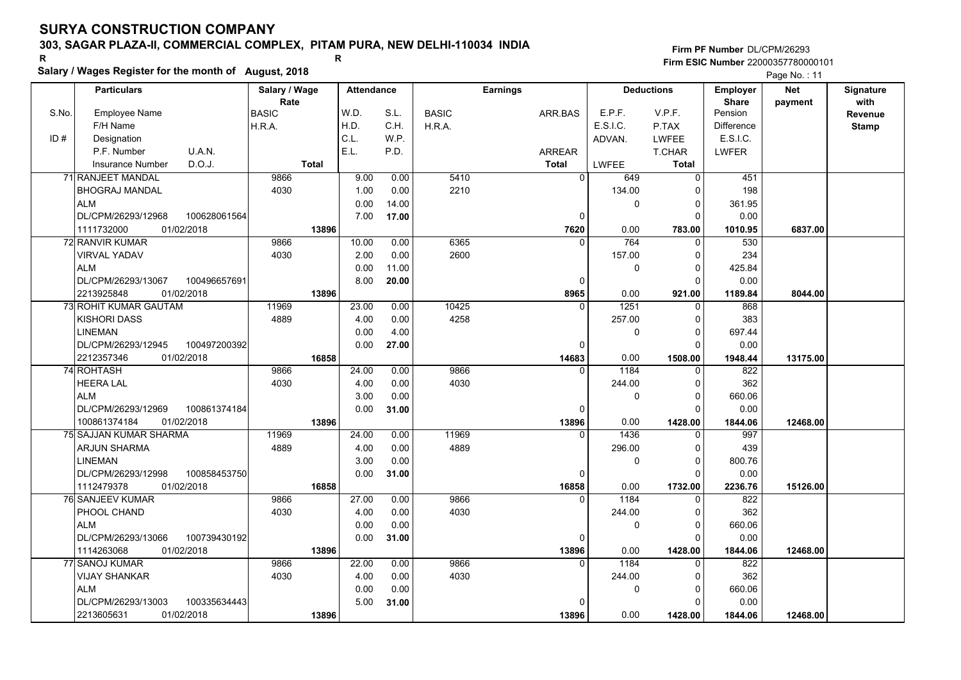### **303, SAGAR PLAZA-II, COMMERCIAL COMPLEX, PITAM PURA, NEW DELHI-110034 INDIA**

**Salary / Wages Register for the month of August, 2018 <sup>R</sup> <sup>R</sup>**

**Firm PF Number**DL/CPM/26293**Firm ESIC Number** 22000357780000101

|       | <b>Particulars</b>                                             | Salary / Wage        | <b>Attendance</b> |       |              | <b>Earnings</b> |                        | <b>Deductions</b>       | Employer                | <b>Net</b> | Signature              |
|-------|----------------------------------------------------------------|----------------------|-------------------|-------|--------------|-----------------|------------------------|-------------------------|-------------------------|------------|------------------------|
| S.No. | Employee Name                                                  | Rate<br><b>BASIC</b> | W.D.              | S.L.  | <b>BASIC</b> | ARR.BAS         | E.P.F.                 | V.P.F.                  | <b>Share</b><br>Pension | payment    | with<br><b>Revenue</b> |
|       | F/H Name                                                       | H.R.A.               | H.D.              | C.H.  | H.R.A.       |                 | E.S.I.C.               | P.TAX                   | <b>Difference</b>       |            | <b>Stamp</b>           |
| ID#   | Designation                                                    |                      | C.L.              | W.P.  |              |                 | ADVAN.                 | <b>LWFEE</b>            | E.S.I.C.                |            |                        |
|       | U.A.N.<br>P.F. Number                                          |                      | E.L.              | P.D.  |              | <b>ARREAR</b>   |                        | T.CHAR                  | <b>LWFER</b>            |            |                        |
|       | D.O.J.<br><b>Insurance Number</b>                              | <b>Total</b>         |                   |       |              | <b>Total</b>    | <b>LWFEE</b>           | Total                   |                         |            |                        |
|       | 71 RANJEET MANDAL                                              | 9866                 | 9.00              | 0.00  | 5410         |                 | $\overline{0}$<br>649  | 0                       | 451                     |            |                        |
|       | <b>BHOGRAJ MANDAL</b>                                          | 4030                 | 1.00              | 0.00  | 2210         |                 | 134.00                 | $\mathbf 0$             | 198                     |            |                        |
|       | <b>ALM</b>                                                     |                      | 0.00              | 14.00 |              |                 | 0                      | $\mathbf 0$             | 361.95                  |            |                        |
|       | DL/CPM/26293/12968<br>100628061564                             |                      | 7.00              | 17.00 |              |                 | 0                      | $\mathbf 0$             | 0.00                    |            |                        |
|       | 1111732000<br>01/02/2018                                       | 13896                |                   |       |              | 7620            | 0.00                   | 783.00                  | 1010.95                 | 6837.00    |                        |
|       | 72 RANVIR KUMAR                                                | 9866                 | 10.00             | 0.00  | 6365         |                 | 764<br>$\Omega$        | $\mathbf 0$             | 530                     |            |                        |
|       | VIRVAL YADAV                                                   | 4030                 | 2.00              | 0.00  | 2600         |                 | 157.00                 | $\mathbf 0$             | 234                     |            |                        |
|       | <b>ALM</b>                                                     |                      | 0.00              | 11.00 |              |                 | 0                      | $\mathbf 0$             | 425.84                  |            |                        |
|       | DL/CPM/26293/13067<br>100496657691                             |                      | 8.00              | 20.00 |              |                 | 0                      | $\mathbf 0$             | 0.00                    |            |                        |
|       | 2213925848<br>01/02/2018                                       | 13896                |                   |       |              | 8965            | 0.00                   | 921.00                  | 1189.84                 | 8044.00    |                        |
|       | <b>73 ROHIT KUMAR GAUTAM</b>                                   | 11969                | 23.00             | 0.00  | 10425        |                 | 1251<br>$\Omega$       | $\mathbf 0$             | 868                     |            |                        |
|       | <b>KISHORI DASS</b>                                            | 4889                 | 4.00              | 0.00  | 4258         |                 | 257.00                 | $\mathbf 0$             | 383                     |            |                        |
|       | <b>LINEMAN</b>                                                 |                      | 0.00              | 4.00  |              |                 | 0                      | $\mathbf 0$             | 697.44                  |            |                        |
|       | DL/CPM/26293/12945<br>100497200392                             |                      | 0.00              | 27.00 |              |                 | $\Omega$               | $\Omega$                | 0.00                    |            |                        |
|       | 2212357346<br>01/02/2018                                       | 16858                |                   |       |              | 14683           | 0.00                   | 1508.00                 | 1948.44                 | 13175.00   |                        |
|       | 74 ROHTASH                                                     | 9866                 | 24.00             | 0.00  | 9866         |                 | 1184<br>$\Omega$       | 0                       | 822                     |            |                        |
|       | <b>HEERA LAL</b>                                               | 4030                 | 4.00              | 0.00  | 4030         |                 | 244.00                 | $\mathbf 0$             | 362                     |            |                        |
|       | <b>ALM</b>                                                     |                      | 3.00              | 0.00  |              |                 | 0                      | $\mathbf 0$             | 660.06                  |            |                        |
|       | DL/CPM/26293/12969<br>100861374184                             |                      | 0.00              | 31.00 |              |                 | $\Omega$               | $\Omega$                | 0.00                    |            |                        |
|       | 01/02/2018<br>100861374184                                     | 13896                |                   |       |              | 13896           | 0.00                   | 1428.00                 | 1844.06                 | 12468.00   |                        |
|       | 75 SAJJAN KUMAR SHARMA                                         | 11969                | 24.00             | 0.00  | 11969        |                 | 1436<br>$\Omega$       | 0                       | 997                     |            |                        |
|       | <b>ARJUN SHARMA</b>                                            | 4889                 | 4.00              | 0.00  | 4889         |                 | 296.00                 | 0                       | 439                     |            |                        |
|       | <b>LINEMAN</b>                                                 |                      | 3.00              | 0.00  |              |                 | 0                      | $\mathbf 0$             | 800.76                  |            |                        |
|       | DL/CPM/26293/12998<br>100858453750                             |                      | 0.00              | 31.00 |              |                 | 0                      | $\Omega$                | 0.00                    |            |                        |
|       | 01/02/2018<br>1112479378                                       | 16858                |                   |       |              | 16858           | 0.00                   | 1732.00                 | 2236.76                 | 15126.00   |                        |
|       | 76 SANJEEV KUMAR                                               | 9866                 | 27.00             | 0.00  | 9866         |                 | 1184<br>$\Omega$       | 0                       | 822                     |            |                        |
|       | PHOOL CHAND                                                    | 4030                 | 4.00              | 0.00  | 4030         |                 | 244.00                 | $\Omega$                | 362                     |            |                        |
|       | <b>ALM</b>                                                     |                      | 0.00              | 0.00  |              |                 | $\mathbf 0$            | $\mathbf 0$<br>$\Omega$ | 660.06                  |            |                        |
|       | DL/CPM/26293/13066<br>100739430192<br>01/02/2018<br>1114263068 |                      | 0.00              | 31.00 |              |                 | 0<br>0.00              |                         | 0.00                    |            |                        |
|       | 77 SANOJ KUMAR                                                 | 13896<br>9866        | 22.00             | 0.00  | 9866         | 13896           | 1184<br>$\overline{0}$ | 1428.00<br>$\Omega$     | 1844.06<br>822          | 12468.00   |                        |
|       | VIJAY SHANKAR                                                  | 4030                 | 4.00              | 0.00  | 4030         |                 | 244.00                 | $\mathbf 0$             | 362                     |            |                        |
|       |                                                                |                      |                   |       |              |                 |                        |                         |                         |            |                        |
|       | <b>ALM</b><br>100335634443<br>DL/CPM/26293/13003               |                      | 0.00<br>5.00      | 0.00  |              |                 | 0<br>$\Omega$          | $\mathbf 0$<br>$\Omega$ | 660.06<br>0.00          |            |                        |
|       | 2213605631<br>01/02/2018                                       |                      |                   | 31.00 |              |                 | 0.00                   |                         |                         |            |                        |
|       |                                                                | 13896                |                   |       |              | 13896           |                        | 1428.00                 | 1844.06                 | 12468.00   |                        |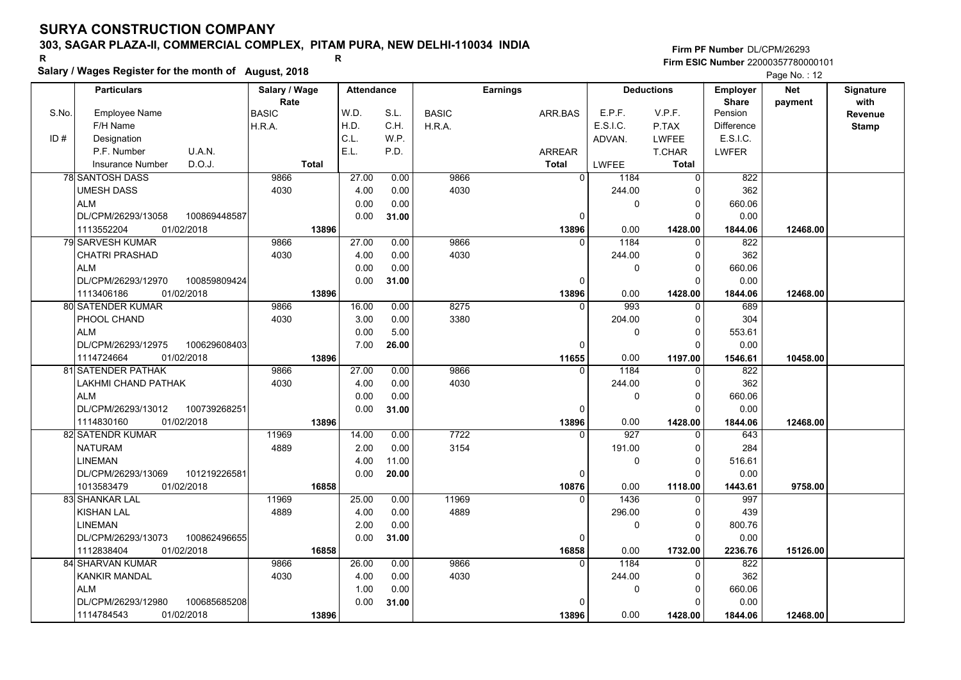### **303, SAGAR PLAZA-II, COMMERCIAL COMPLEX, PITAM PURA, NEW DELHI-110034 INDIA**

**Salary / Wages Register for the month of August, 2018 <sup>R</sup> <sup>R</sup>**

**Firm PF Number**DL/CPM/26293**Firm ESIC Number** 22000357780000101

|       | <b>Particulars</b>                 | Salary / Wage        | <b>Attendance</b> |       |              | <b>Earnings</b> |                        | <b>Deductions</b> | Employer                | <b>Net</b> | Signature       |
|-------|------------------------------------|----------------------|-------------------|-------|--------------|-----------------|------------------------|-------------------|-------------------------|------------|-----------------|
| S.No. | <b>Employee Name</b>               | Rate<br><b>BASIC</b> | W.D.              | S.L.  | <b>BASIC</b> | ARR.BAS         | E.P.F.                 | V.P.F.            | <b>Share</b><br>Pension | payment    | with<br>Revenue |
|       | F/H Name                           | H.R.A.               | H.D.              | C.H.  | H.R.A.       |                 | E.S.I.C.               | P.TAX             | Difference              |            | <b>Stamp</b>    |
| ID#   | Designation                        |                      | C.L.              | W.P.  |              |                 | ADVAN.                 | <b>LWFEE</b>      | E.S.I.C.                |            |                 |
|       | U.A.N.<br>P.F. Number              |                      | E.L.              | P.D.  |              | ARREAR          |                        | T.CHAR            | <b>LWFER</b>            |            |                 |
|       | D.O.J.<br><b>Insurance Number</b>  | <b>Total</b>         |                   |       |              | <b>Total</b>    | LWFEE                  | <b>Total</b>      |                         |            |                 |
|       | 78 SANTOSH DASS                    | 9866                 | 27.00             | 0.00  | 9866         |                 | $\overline{0}$<br>1184 | $\Omega$          | 822                     |            |                 |
|       | <b>UMESH DASS</b>                  | 4030                 | 4.00              | 0.00  | 4030         |                 | 244.00                 | O                 | 362                     |            |                 |
|       | <b>ALM</b>                         |                      | 0.00              | 0.00  |              |                 | 0                      | $\mathbf 0$       | 660.06                  |            |                 |
|       | DL/CPM/26293/13058<br>100869448587 |                      | 0.00              | 31.00 |              | 0               |                        | O                 | 0.00                    |            |                 |
|       | 1113552204<br>01/02/2018           | 13896                |                   |       |              | 13896           | 0.00                   | 1428.00           | 1844.06                 | 12468.00   |                 |
|       | 79 SARVESH KUMAR                   | 9866                 | 27.00             | 0.00  | 9866         |                 | 1184<br>$\Omega$       | $\Omega$          | 822                     |            |                 |
|       | CHATRI PRASHAD                     | 4030                 | 4.00              | 0.00  | 4030         |                 | 244.00                 | $\Omega$          | 362                     |            |                 |
|       | <b>ALM</b>                         |                      | 0.00              | 0.00  |              |                 | 0                      | $\Omega$          | 660.06                  |            |                 |
|       | DL/CPM/26293/12970<br>100859809424 |                      | 0.00              | 31.00 |              | 0               |                        | 0                 | 0.00                    |            |                 |
|       | 1113406186<br>01/02/2018           | 13896                |                   |       |              | 13896           | 0.00                   | 1428.00           | 1844.06                 | 12468.00   |                 |
|       | <b>80 SATENDER KUMAR</b>           | 9866                 | 16.00             | 0.00  | 8275         |                 | 993<br>$\Omega$        | $\Omega$          | 689                     |            |                 |
|       | PHOOL CHAND                        | 4030                 | 3.00              | 0.00  | 3380         |                 | 204.00                 | $\Omega$          | 304                     |            |                 |
|       | <b>ALM</b>                         |                      | 0.00              | 5.00  |              |                 | 0                      | $\Omega$          | 553.61                  |            |                 |
|       | DL/CPM/26293/12975<br>100629608403 |                      | 7.00              | 26.00 |              | 0               |                        |                   | 0.00                    |            |                 |
|       | 01/02/2018<br>1114724664           | 13896                |                   |       |              | 11655           | 0.00                   | 1197.00           | 1546.61                 | 10458.00   |                 |
|       | 81 SATENDER PATHAK                 | 9866                 | 27.00             | 0.00  | 9866         |                 | 1184<br>$\Omega$       | $\Omega$          | 822                     |            |                 |
|       | LAKHMI CHAND PATHAK                | 4030                 | 4.00              | 0.00  | 4030         |                 | 244.00                 | $\Omega$          | 362                     |            |                 |
|       | <b>ALM</b>                         |                      | 0.00              | 0.00  |              |                 | 0                      | O                 | 660.06                  |            |                 |
|       | 100739268251<br>DL/CPM/26293/13012 |                      | 0.00              | 31.00 |              | $\Omega$        |                        | C                 | 0.00                    |            |                 |
|       | 01/02/2018<br>1114830160           | 13896                |                   |       |              | 13896           | 0.00                   | 1428.00           | 1844.06                 | 12468.00   |                 |
|       | 82 SATENDR KUMAR                   | 11969                | 14.00             | 0.00  | 7722         |                 | 927<br>$\Omega$        |                   | 643                     |            |                 |
|       | <b>NATURAM</b>                     | 4889                 | 2.00              | 0.00  | 3154         |                 | 191.00                 | ŋ                 | 284                     |            |                 |
|       | <b>LINEMAN</b>                     |                      | 4.00              | 11.00 |              |                 | 0                      | $\Omega$          | 516.61                  |            |                 |
|       | DL/CPM/26293/13069<br>101219226581 |                      | 0.00              | 20.00 |              |                 | 0                      | $\Omega$          | 0.00                    |            |                 |
|       | 01/02/2018<br>1013583479           | 16858                |                   |       |              | 10876           | 0.00                   | 1118.00           | 1443.61                 | 9758.00    |                 |
|       | 83 SHANKAR LAL                     | 11969                | 25.00             | 0.00  | 11969        |                 | 1436<br>$\Omega$       | $\Omega$          | 997                     |            |                 |
|       | <b>KISHAN LAL</b>                  | 4889                 | 4.00              | 0.00  | 4889         |                 | 296.00                 | $\Omega$          | 439                     |            |                 |
|       | <b>LINEMAN</b>                     |                      | 2.00              | 0.00  |              |                 | 0                      | $\Omega$          | 800.76                  |            |                 |
|       | DL/CPM/26293/13073<br>100862496655 |                      | 0.00              | 31.00 |              |                 | 0                      | $\Omega$          | 0.00                    |            |                 |
|       | 1112838404<br>01/02/2018           | 16858                |                   |       |              | 16858           | 0.00                   | 1732.00           | 2236.76                 | 15126.00   |                 |
|       | 84 SHARVAN KUMAR                   | 9866                 | 26.00             | 0.00  | 9866         |                 | 1184                   |                   | 822                     |            |                 |
|       | <b>KANKIR MANDAL</b>               | 4030                 | 4.00              | 0.00  | 4030         |                 | 244.00                 | <sup>0</sup>      | 362                     |            |                 |
|       | <b>ALM</b>                         |                      | 1.00              | 0.00  |              |                 | 0                      | 0                 | 660.06                  |            |                 |
|       | DL/CPM/26293/12980<br>100685685208 |                      | 0.00              | 31.00 |              |                 |                        |                   | 0.00                    |            |                 |
|       | 01/02/2018<br>1114784543           | 13896                |                   |       |              | 13896           | 0.00                   | 1428.00           | 1844.06                 | 12468.00   |                 |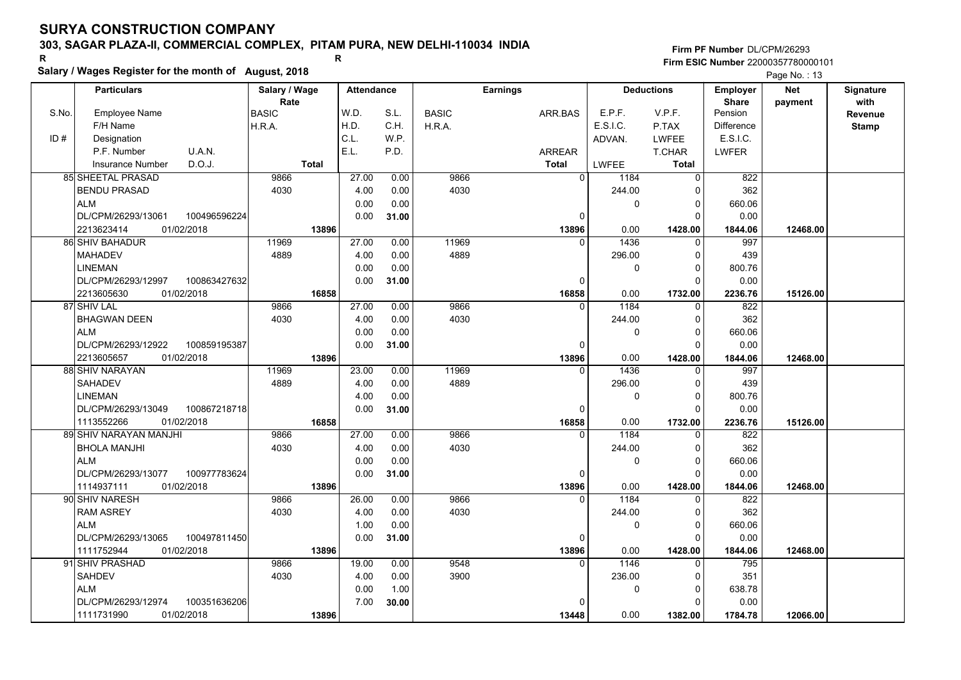### **303, SAGAR PLAZA-II, COMMERCIAL COMPLEX, PITAM PURA, NEW DELHI-110034 INDIA**

**Salary / Wages Register for the month of August, 2018 <sup>R</sup> <sup>R</sup>**

### **Firm PF Number**DL/CPM/26293**Firm ESIC Number** 22000357780000101

|       | <b>Particulars</b>                 | Salary / Wage        |              | <b>Attendance</b> |              | <b>Earnings</b> |                        | <b>Deductions</b> |                         | <b>Net</b> | Signature       |
|-------|------------------------------------|----------------------|--------------|-------------------|--------------|-----------------|------------------------|-------------------|-------------------------|------------|-----------------|
| S.No. | <b>Employee Name</b>               | Rate<br><b>BASIC</b> | W.D.         | S.L.              | <b>BASIC</b> | ARR.BAS         | E.P.F.                 | V.P.F.            | <b>Share</b><br>Pension | payment    | with<br>Revenue |
|       | F/H Name                           | H.R.A.               | H.D.         | C.H.              | H.R.A.       |                 | E.S.I.C.               | P.TAX             | <b>Difference</b>       |            | <b>Stamp</b>    |
| ID#   | Designation                        |                      | C.L.         | W.P.              |              |                 | ADVAN.                 | <b>LWFEE</b>      | E.S.I.C.                |            |                 |
|       | P.F. Number<br>U.A.N.              |                      | E.L.         | P.D.              |              | ARREAR          |                        | <b>T.CHAR</b>     | <b>LWFER</b>            |            |                 |
|       | D.O.J.<br><b>Insurance Number</b>  | <b>Total</b>         |              |                   |              | <b>Total</b>    | LWFEE                  | Total             |                         |            |                 |
|       | 85 SHEETAL PRASAD                  | 9866                 | 27.00        | 0.00              | 9866         |                 | $\overline{0}$<br>1184 | $\mathbf 0$       | 822                     |            |                 |
|       |                                    | 4030                 |              |                   | 4030         |                 | 244.00                 |                   | 362                     |            |                 |
|       | <b>BENDU PRASAD</b><br><b>ALM</b>  |                      | 4.00<br>0.00 | 0.00              |              |                 |                        | 0<br>$\mathbf 0$  |                         |            |                 |
|       | 100496596224                       |                      |              | 0.00              |              |                 | 0                      | $\Omega$          | 660.06                  |            |                 |
|       | DL/CPM/26293/13061                 |                      | 0.00         | 31.00             |              |                 | 0                      |                   | 0.00                    |            |                 |
|       | 01/02/2018<br>2213623414           | 13896                |              |                   |              | 13896           | 0.00<br>$\Omega$       | 1428.00           | 1844.06                 | 12468.00   |                 |
|       | 86 SHIV BAHADUR                    | 11969                | 27.00        | 0.00              | 11969        |                 | 1436                   | $\mathbf 0$       | 997                     |            |                 |
|       | <b>MAHADEV</b>                     | 4889                 | 4.00         | 0.00              | 4889         |                 | 296.00                 | $\mathbf 0$       | 439                     |            |                 |
|       | <b>LINEMAN</b>                     |                      | 0.00         | 0.00              |              |                 | 0                      | $\mathbf 0$       | 800.76                  |            |                 |
|       | DL/CPM/26293/12997<br>100863427632 |                      | 0.00         | 31.00             |              |                 | O                      | $\Omega$          | 0.00                    |            |                 |
|       | 01/02/2018<br>2213605630           | 16858                |              |                   |              | 16858           | 0.00                   | 1732.00           | 2236.76                 | 15126.00   |                 |
|       | 87 SHIV LAL                        | 9866                 | 27.00        | 0.00              | 9866         |                 | 1184<br>$\Omega$       | 0                 | 822                     |            |                 |
|       | <b>BHAGWAN DEEN</b>                | 4030                 | 4.00         | 0.00              | 4030         |                 | 244.00                 | 0                 | 362                     |            |                 |
|       | <b>ALM</b>                         |                      | 0.00         | 0.00              |              |                 | 0                      | $\mathbf 0$       | 660.06                  |            |                 |
|       | DL/CPM/26293/12922<br>100859195387 |                      | 0.00         | 31.00             |              |                 | $\Omega$               | $\Omega$          | 0.00                    |            |                 |
|       | 2213605657<br>01/02/2018           | 13896                |              |                   |              | 13896           | 0.00                   | 1428.00           | 1844.06                 | 12468.00   |                 |
|       | 88 SHIV NARAYAN                    | 11969                | 23.00        | 0.00              | 11969        |                 | 1436<br>$\Omega$       | 0                 | 997                     |            |                 |
|       | <b>SAHADEV</b>                     | 4889                 | 4.00         | 0.00              | 4889         |                 | 296.00                 | $\mathbf 0$       | 439                     |            |                 |
|       | <b>LINEMAN</b>                     |                      | 4.00         | 0.00              |              |                 | 0                      | $\mathbf 0$       | 800.76                  |            |                 |
|       | DL/CPM/26293/13049<br>100867218718 |                      | 0.00         | 31.00             |              |                 | $\Omega$               | $\Omega$          | 0.00                    |            |                 |
|       | 1113552266<br>01/02/2018           | 16858                |              |                   |              | 16858           | 0.00                   | 1732.00           | 2236.76                 | 15126.00   |                 |
|       | 89 SHIV NARAYAN MANJHI             | 9866                 | 27.00        | 0.00              | 9866         |                 | 1184<br>$\Omega$       | $\Omega$          | 822                     |            |                 |
|       | <b>BHOLA MANJHI</b>                | 4030                 | 4.00         | 0.00              | 4030         |                 | 244.00                 | $\Omega$          | 362                     |            |                 |
|       | <b>ALM</b>                         |                      | 0.00         | 0.00              |              |                 | 0                      | $\mathbf 0$       | 660.06                  |            |                 |
|       | DL/CPM/26293/13077<br>100977783624 |                      | 0.00         | 31.00             |              |                 | 0                      | $\Omega$          | 0.00                    |            |                 |
|       | 01/02/2018<br>1114937111           | 13896                |              |                   |              | 13896           | 0.00                   | 1428.00           | 1844.06                 | 12468.00   |                 |
|       | 90 SHIV NARESH                     | 9866                 | 26.00        | 0.00              | 9866         |                 | 1184<br>$\Omega$       | $\mathbf 0$       | 822                     |            |                 |
|       | <b>RAM ASREY</b>                   | 4030                 | 4.00         | 0.00              | 4030         |                 | 244.00                 | 0                 | 362                     |            |                 |
|       | <b>ALM</b>                         |                      | 1.00         | 0.00              |              |                 | 0                      | $\mathbf 0$       | 660.06                  |            |                 |
|       | DL/CPM/26293/13065<br>100497811450 |                      | 0.00         | 31.00             |              |                 | $\Omega$               | $\Omega$          | 0.00                    |            |                 |
|       | 1111752944<br>01/02/2018           | 13896                |              |                   |              | 13896           | 0.00                   | 1428.00           | 1844.06                 | 12468.00   |                 |
|       | 91 SHIV PRASHAD                    | 9866                 | 19.00        | 0.00              | 9548         |                 | 1146<br>$\Omega$       | 0                 | 795                     |            |                 |
|       | SAHDEV                             | 4030                 | 4.00         | 0.00              | 3900         |                 | 236.00                 | 0                 | 351                     |            |                 |
|       | <b>ALM</b>                         |                      | 0.00         | 1.00              |              |                 | 0                      | 0                 | 638.78                  |            |                 |
|       | DL/CPM/26293/12974<br>100351636206 |                      | 7.00         | 30.00             |              |                 |                        | $\Omega$          | 0.00                    |            |                 |
|       | 1111731990<br>01/02/2018           | 13896                |              |                   |              | 13448           | 0.00                   | 1382.00           | 1784.78                 | 12066.00   |                 |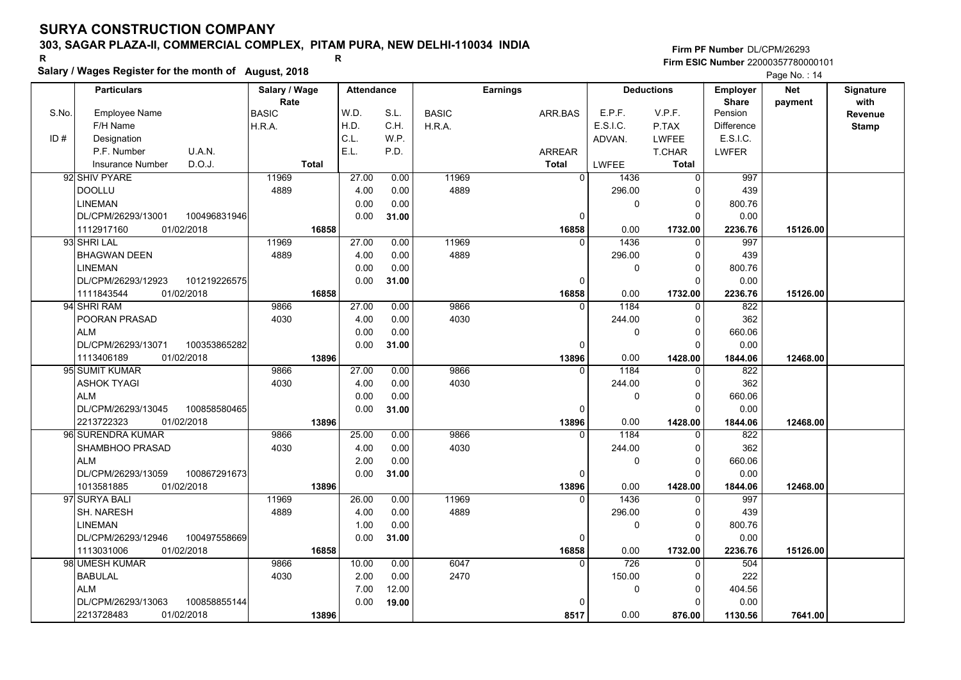## **303, SAGAR PLAZA-II, COMMERCIAL COMPLEX, PITAM PURA, NEW DELHI-110034 INDIA**

**Salary / Wages Register for the month of August, 2018 <sup>R</sup> <sup>R</sup>**

### **Firm PF Number**DL/CPM/26293**Firm ESIC Number** 22000357780000101

|       | <b>Particulars</b>                 | Salary / Wage        | <b>Attendance</b> |       |              | <b>Earnings</b> | <b>Deductions</b> |              | Employer                | <b>Net</b> | Signature<br>with |
|-------|------------------------------------|----------------------|-------------------|-------|--------------|-----------------|-------------------|--------------|-------------------------|------------|-------------------|
| S.No. | Employee Name                      | Rate<br><b>BASIC</b> | W.D.              | S.L.  | <b>BASIC</b> | ARR.BAS         | E.P.F.            | V.P.F.       | <b>Share</b><br>Pension | payment    | Revenue           |
|       | F/H Name                           | H.R.A.               | H.D.              | C.H.  | H.R.A.       |                 | E.S.I.C.          | P.TAX        | <b>Difference</b>       |            | <b>Stamp</b>      |
| ID#   | Designation                        |                      | C.L.              | W.P.  |              |                 | ADVAN.            | <b>LWFEE</b> | E.S.I.C.                |            |                   |
|       | U.A.N.<br>P.F. Number              |                      | E.L.              | P.D.  |              | <b>ARREAR</b>   |                   | T.CHAR       | <b>LWFER</b>            |            |                   |
|       | D.O.J.<br><b>Insurance Number</b>  | <b>Total</b>         |                   |       |              | <b>Total</b>    | <b>LWFEE</b>      | <b>Total</b> |                         |            |                   |
|       | 92 SHIV PYARE                      | 11969                | 27.00             | 0.00  | 11969        | $\overline{0}$  | 1436              | 0            | 997                     |            |                   |
|       | <b>DOOLLU</b>                      | 4889                 | 4.00              | 0.00  | 4889         |                 | 296.00            | $\Omega$     | 439                     |            |                   |
|       | <b>LINEMAN</b>                     |                      | 0.00              | 0.00  |              |                 | 0                 | $\mathbf 0$  | 800.76                  |            |                   |
|       | 100496831946<br>DL/CPM/26293/13001 |                      | 0.00              | 31.00 |              | $\Omega$        |                   | $\Omega$     | 0.00                    |            |                   |
|       | 1112917160<br>01/02/2018           | 16858                |                   |       |              | 16858           | 0.00              | 1732.00      | 2236.76                 | 15126.00   |                   |
|       | 93 SHRI LAL                        | 11969                | 27.00             | 0.00  | 11969        | $\Omega$        | 1436              | 0            | 997                     |            |                   |
|       | <b>BHAGWAN DEEN</b>                | 4889                 | 4.00              | 0.00  | 4889         |                 | 296.00            | $\mathbf 0$  | 439                     |            |                   |
|       | <b>LINEMAN</b>                     |                      | 0.00              | 0.00  |              |                 | 0                 | $\mathbf 0$  | 800.76                  |            |                   |
|       | DL/CPM/26293/12923<br>101219226575 |                      | 0.00              | 31.00 |              | 0               |                   | 0            | 0.00                    |            |                   |
|       | 1111843544<br>01/02/2018           | 16858                |                   |       |              | 16858           | 0.00              | 1732.00      | 2236.76                 | 15126.00   |                   |
|       | 94 SHRI RAM                        | 9866                 | 27.00             | 0.00  | 9866         | $\Omega$        | 1184              | $\mathbf 0$  | 822                     |            |                   |
|       | POORAN PRASAD                      | 4030                 | 4.00              | 0.00  | 4030         |                 | 244.00            | 0            | 362                     |            |                   |
|       | <b>ALM</b>                         |                      | 0.00              | 0.00  |              |                 | 0                 | $\mathbf 0$  | 660.06                  |            |                   |
|       | DL/CPM/26293/13071<br>100353865282 |                      | 0.00              | 31.00 |              | O               |                   | $\Omega$     | 0.00                    |            |                   |
|       | 1113406189<br>01/02/2018           | 13896                |                   |       |              | 13896           | 0.00              | 1428.00      | 1844.06                 | 12468.00   |                   |
|       | 95 SUMIT KUMAR                     | 9866                 | 27.00             | 0.00  | 9866         | $\Omega$        | 1184              | 0            | 822                     |            |                   |
|       | <b>ASHOK TYAGI</b>                 | 4030                 | 4.00              | 0.00  | 4030         |                 | 244.00            | $\mathbf 0$  | 362                     |            |                   |
|       | <b>ALM</b>                         |                      | 0.00              | 0.00  |              |                 | 0                 | $\mathbf 0$  | 660.06                  |            |                   |
|       | DL/CPM/26293/13045<br>100858580465 |                      | 0.00              | 31.00 |              | $\Omega$        |                   | $\Omega$     | 0.00                    |            |                   |
|       | 2213722323<br>01/02/2018           | 13896                |                   |       |              | 13896           | 0.00              | 1428.00      | 1844.06                 | 12468.00   |                   |
|       | 96 SURENDRA KUMAR                  | 9866                 | 25.00             | 0.00  | 9866         | $\Omega$        | 1184              | $\Omega$     | 822                     |            |                   |
|       | SHAMBHOO PRASAD                    | 4030                 | 4.00              | 0.00  | 4030         |                 | 244.00            | 0            | 362                     |            |                   |
|       | <b>ALM</b>                         |                      | 2.00              | 0.00  |              |                 | 0                 | $\mathbf 0$  | 660.06                  |            |                   |
|       | DL/CPM/26293/13059<br>100867291673 |                      | 0.00              | 31.00 |              | 0               |                   | $\Omega$     | 0.00                    |            |                   |
|       | 1013581885<br>01/02/2018           | 13896                |                   |       |              | 13896           | 0.00              | 1428.00      | 1844.06                 | 12468.00   |                   |
|       | 97 SURYA BALI                      | 11969                | 26.00             | 0.00  | 11969        | $\Omega$        | 1436              | $\mathbf 0$  | 997                     |            |                   |
|       | SH. NARESH                         | 4889                 | 4.00              | 0.00  | 4889         |                 | 296.00            | $\mathbf 0$  | 439                     |            |                   |
|       | <b>LINEMAN</b>                     |                      | 1.00              | 0.00  |              |                 | 0                 | $\mathbf 0$  | 800.76                  |            |                   |
|       | DL/CPM/26293/12946<br>100497558669 |                      | 0.00              | 31.00 |              | 0               |                   | $\Omega$     | 0.00                    |            |                   |
|       | 1113031006<br>01/02/2018           | 16858                |                   |       |              | 16858           | 0.00              | 1732.00      | 2236.76                 | 15126.00   |                   |
|       | 98 UMESH KUMAR                     | 9866                 | 10.00             | 0.00  | 6047         | $\Omega$        | 726               | $\Omega$     | 504                     |            |                   |
|       | <b>BABULAL</b>                     | 4030                 | 2.00              | 0.00  | 2470         |                 | 150.00            | 0            | 222                     |            |                   |
|       | <b>ALM</b>                         |                      | 7.00              | 12.00 |              |                 | 0                 | 0            | 404.56                  |            |                   |
|       | DL/CPM/26293/13063<br>100858855144 |                      | 0.00              | 19.00 |              |                 |                   | $\Omega$     | 0.00                    |            |                   |
|       | 01/02/2018<br>2213728483           | 13896                |                   |       |              | 8517            | 0.00              | 876.00       | 1130.56                 | 7641.00    |                   |